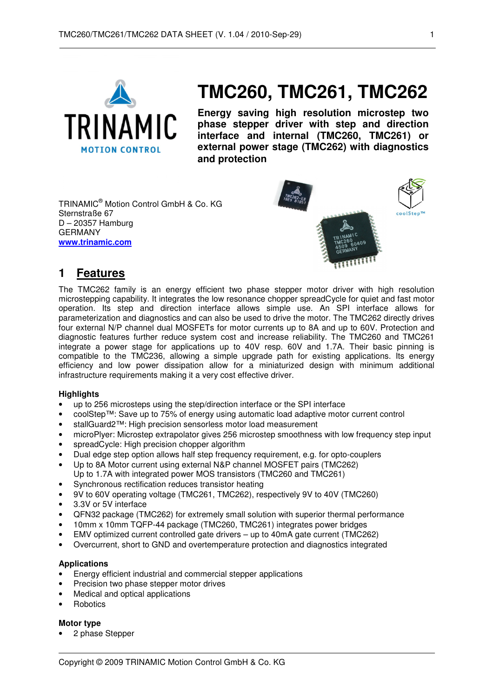

# **TMC260, TMC261, TMC262**

**Energy saving high resolution microstep two phase stepper driver with step and direction interface and internal (TMC260, TMC261) or external power stage (TMC262) with diagnostics and protection** 

TRINAMIC® Motion Control GmbH & Co. KG Sternstraße 67 D – 20357 Hamburg GERMANY **www.trinamic.com**



## **1 Features**

The TMC262 family is an energy efficient two phase stepper motor driver with high resolution microstepping capability. It integrates the low resonance chopper spreadCycle for quiet and fast motor operation. Its step and direction interface allows simple use. An SPI interface allows for parameterization and diagnostics and can also be used to drive the motor. The TMC262 directly drives four external N/P channel dual MOSFETs for motor currents up to 8A and up to 60V. Protection and diagnostic features further reduce system cost and increase reliability. The TMC260 and TMC261 integrate a power stage for applications up to 40V resp. 60V and 1.7A. Their basic pinning is compatible to the TMC236, allowing a simple upgrade path for existing applications. Its energy efficiency and low power dissipation allow for a miniaturized design with minimum additional infrastructure requirements making it a very cost effective driver.

#### **Highlights**

- up to 256 microsteps using the step/direction interface or the SPI interface
- coolStep™: Save up to 75% of energy using automatic load adaptive motor current control
- stallGuard2™: High precision sensorless motor load measurement
- microPlyer: Microstep extrapolator gives 256 microstep smoothness with low frequency step input
- spreadCycle: High precision chopper algorithm
- Dual edge step option allows half step frequency requirement, e.g. for opto-couplers
- Up to 8A Motor current using external N&P channel MOSFET pairs (TMC262) Up to 1.7A with integrated power MOS transistors (TMC260 and TMC261)
- Synchronous rectification reduces transistor heating
- 9V to 60V operating voltage (TMC261, TMC262), respectively 9V to 40V (TMC260)
- 3.3V or 5V interface
- QFN32 package (TMC262) for extremely small solution with superior thermal performance
- 10mm x 10mm TQFP-44 package (TMC260, TMC261) integrates power bridges
- EMV optimized current controlled gate drivers up to 40mA gate current (TMC262)
- Overcurrent, short to GND and overtemperature protection and diagnostics integrated

#### **Applications**

- Energy efficient industrial and commercial stepper applications
- Precision two phase stepper motor drives
- Medical and optical applications
- **Robotics**

#### **Motor type**

• 2 phase Stepper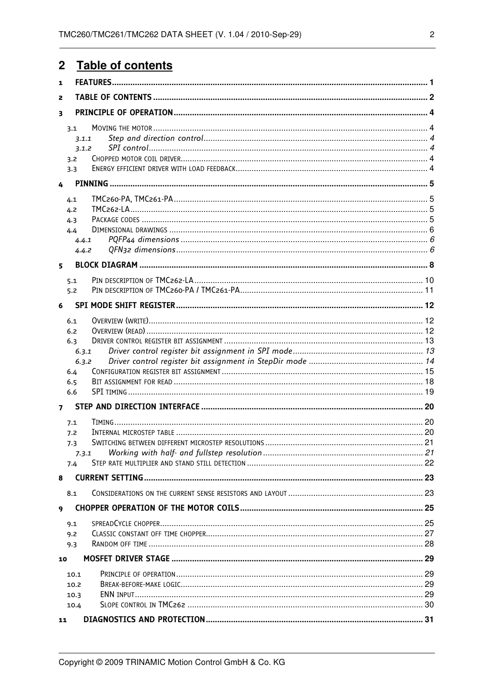#### $\overline{2}$ Table of contents

| 1              |              |  |  |  |  |  |  |  |  |
|----------------|--------------|--|--|--|--|--|--|--|--|
| 2              |              |  |  |  |  |  |  |  |  |
| 3              |              |  |  |  |  |  |  |  |  |
|                | 3.1          |  |  |  |  |  |  |  |  |
|                | 3.1.1        |  |  |  |  |  |  |  |  |
|                | 3.1.2        |  |  |  |  |  |  |  |  |
|                | 3.2          |  |  |  |  |  |  |  |  |
|                | 3.3          |  |  |  |  |  |  |  |  |
| 4              |              |  |  |  |  |  |  |  |  |
|                |              |  |  |  |  |  |  |  |  |
|                | 4.1          |  |  |  |  |  |  |  |  |
|                | 4.2          |  |  |  |  |  |  |  |  |
|                | 4.3          |  |  |  |  |  |  |  |  |
|                | 4.4          |  |  |  |  |  |  |  |  |
|                | 4.4.1        |  |  |  |  |  |  |  |  |
|                | 4.4.2        |  |  |  |  |  |  |  |  |
| 5.             |              |  |  |  |  |  |  |  |  |
|                |              |  |  |  |  |  |  |  |  |
|                | 5.1          |  |  |  |  |  |  |  |  |
|                | 5.2          |  |  |  |  |  |  |  |  |
| 6              |              |  |  |  |  |  |  |  |  |
|                | 6.1          |  |  |  |  |  |  |  |  |
|                | 6.2          |  |  |  |  |  |  |  |  |
|                | 6.3          |  |  |  |  |  |  |  |  |
|                | 6.3.1        |  |  |  |  |  |  |  |  |
|                | 6.3.2        |  |  |  |  |  |  |  |  |
|                | 6.4          |  |  |  |  |  |  |  |  |
|                | 6.5          |  |  |  |  |  |  |  |  |
|                | 6.6          |  |  |  |  |  |  |  |  |
| $\overline{ }$ |              |  |  |  |  |  |  |  |  |
|                |              |  |  |  |  |  |  |  |  |
|                | 7.1          |  |  |  |  |  |  |  |  |
|                | 7.2          |  |  |  |  |  |  |  |  |
|                | 7.3          |  |  |  |  |  |  |  |  |
|                | 7.3.1        |  |  |  |  |  |  |  |  |
|                | 7.4          |  |  |  |  |  |  |  |  |
| 8              |              |  |  |  |  |  |  |  |  |
|                | 8.1          |  |  |  |  |  |  |  |  |
| 9              |              |  |  |  |  |  |  |  |  |
|                | 9.1          |  |  |  |  |  |  |  |  |
|                | 9.2          |  |  |  |  |  |  |  |  |
|                | 9.3          |  |  |  |  |  |  |  |  |
| 10             |              |  |  |  |  |  |  |  |  |
|                |              |  |  |  |  |  |  |  |  |
|                | 10.1         |  |  |  |  |  |  |  |  |
|                | 10.2<br>10.3 |  |  |  |  |  |  |  |  |
|                | 10.4         |  |  |  |  |  |  |  |  |
|                |              |  |  |  |  |  |  |  |  |
| 11             |              |  |  |  |  |  |  |  |  |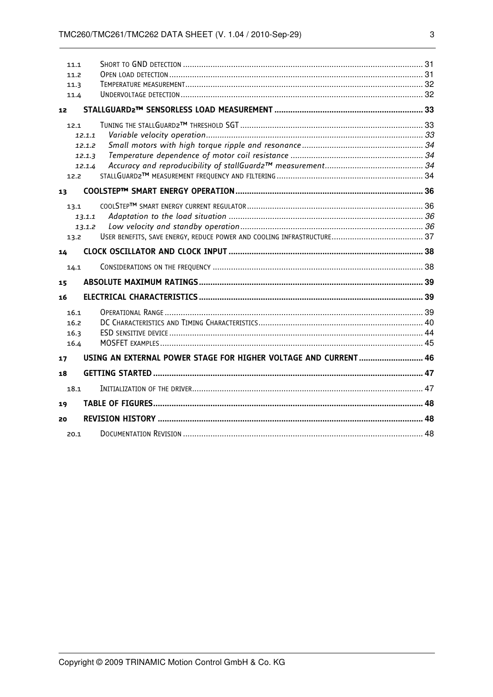|    | 11.1   |                                                                 |  |
|----|--------|-----------------------------------------------------------------|--|
|    | 11.2   |                                                                 |  |
|    | 11.3   |                                                                 |  |
|    | 11.4   |                                                                 |  |
| 12 |        |                                                                 |  |
|    | 12.1   |                                                                 |  |
|    | 12.1.1 |                                                                 |  |
|    | 12.1.2 |                                                                 |  |
|    | 12.1.3 |                                                                 |  |
|    | 12.1.4 |                                                                 |  |
|    | 12.2   |                                                                 |  |
| 13 |        |                                                                 |  |
|    | 13.1   |                                                                 |  |
|    | 13.1.1 |                                                                 |  |
|    | 13.1.2 |                                                                 |  |
|    | 13.2   |                                                                 |  |
| 14 |        |                                                                 |  |
|    | 14.1   |                                                                 |  |
| 15 |        |                                                                 |  |
| 16 |        |                                                                 |  |
|    | 16.1   |                                                                 |  |
|    | 16.2   |                                                                 |  |
|    | 16.3   |                                                                 |  |
|    | 16.4   |                                                                 |  |
| 17 |        | USING AN EXTERNAL POWER STAGE FOR HIGHER VOLTAGE AND CURRENT 46 |  |
| 18 |        |                                                                 |  |
|    | 18.1   |                                                                 |  |
| 19 |        |                                                                 |  |
| 20 |        |                                                                 |  |
|    | 20.1   |                                                                 |  |
|    |        |                                                                 |  |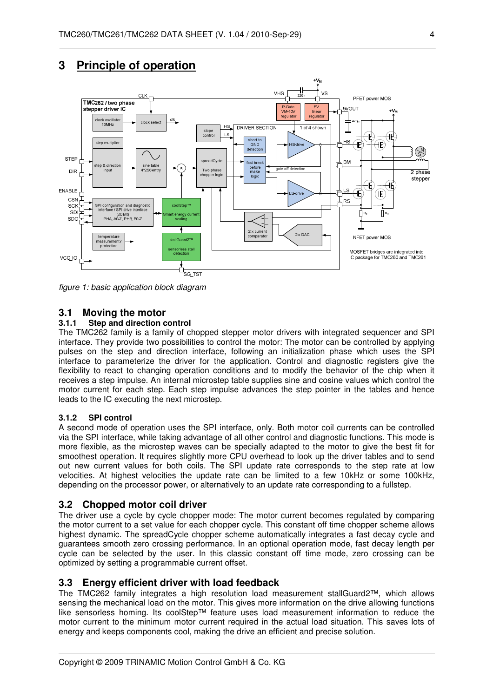



figure 1: basic application block diagram

#### **3.1 Moving the motor**

#### **3.1.1 Step and direction control**

The TMC262 family is a family of chopped stepper motor drivers with integrated sequencer and SPI interface. They provide two possibilities to control the motor: The motor can be controlled by applying pulses on the step and direction interface, following an initialization phase which uses the SPI interface to parameterize the driver for the application. Control and diagnostic registers give the flexibility to react to changing operation conditions and to modify the behavior of the chip when it receives a step impulse. An internal microstep table supplies sine and cosine values which control the motor current for each step. Each step impulse advances the step pointer in the tables and hence leads to the IC executing the next microstep.

#### **3.1.2 SPI control**

A second mode of operation uses the SPI interface, only. Both motor coil currents can be controlled via the SPI interface, while taking advantage of all other control and diagnostic functions. This mode is more flexible, as the microstep waves can be specially adapted to the motor to give the best fit for smoothest operation. It requires slightly more CPU overhead to look up the driver tables and to send out new current values for both coils. The SPI update rate corresponds to the step rate at low velocities. At highest velocities the update rate can be limited to a few 10kHz or some 100kHz, depending on the processor power, or alternatively to an update rate corresponding to a fullstep.

#### **3.2 Chopped motor coil driver**

The driver use a cycle by cycle chopper mode: The motor current becomes regulated by comparing the motor current to a set value for each chopper cycle. This constant off time chopper scheme allows highest dynamic. The spreadCycle chopper scheme automatically integrates a fast decay cycle and guarantees smooth zero crossing performance. In an optional operation mode, fast decay length per cycle can be selected by the user. In this classic constant off time mode, zero crossing can be optimized by setting a programmable current offset.

#### **3.3 Energy efficient driver with load feedback**

The TMC262 family integrates a high resolution load measurement stallGuard2™, which allows sensing the mechanical load on the motor. This gives more information on the drive allowing functions like sensorless homing. Its coolStep™ feature uses load measurement information to reduce the motor current to the minimum motor current required in the actual load situation. This saves lots of energy and keeps components cool, making the drive an efficient and precise solution.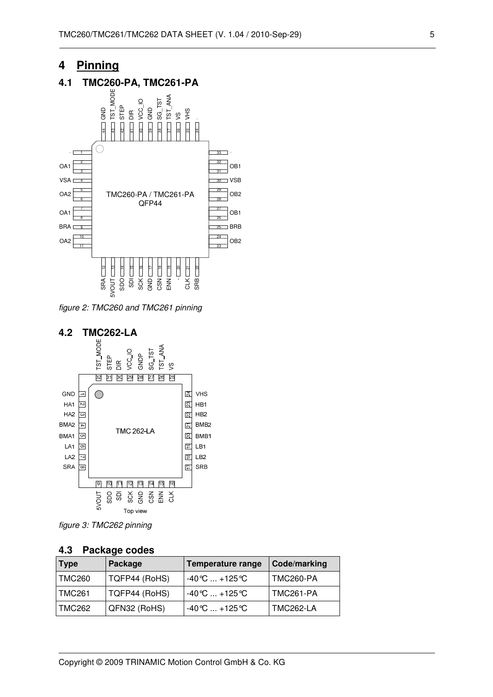## **4 Pinning**

### **4.1 TMC260-PA, TMC261-PA**



figure 2: TMC260 and TMC261 pinning



figure 3: TMC262 pinning

#### **4.3 Package codes**

| <b>Type</b> | Package       | Temperature range                  | Code/marking     |
|-------------|---------------|------------------------------------|------------------|
| TMC260      | TQFP44 (RoHS) | $-40^{\circ}$ C  +125 $^{\circ}$ C | TMC260-PA        |
| TMC261      | TQFP44 (RoHS) | $-40^{\circ}$ C  +125 $^{\circ}$ C | TMC261-PA        |
| TMC262      | QFN32 (RoHS)  | $-40^{\circ}$ C  +125 $^{\circ}$ C | <b>TMC262-LA</b> |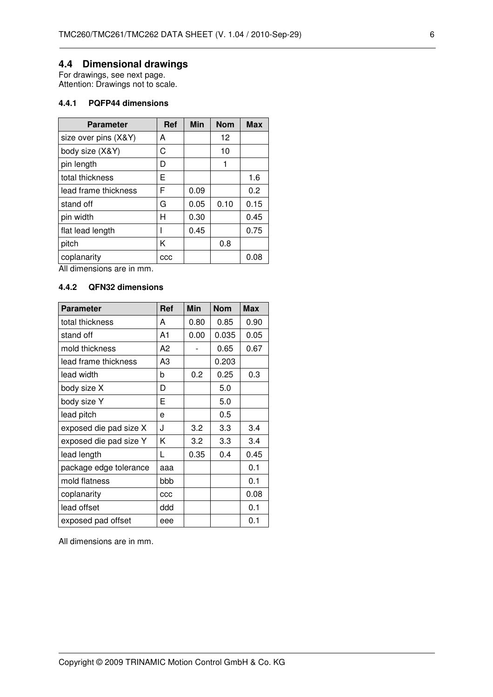## **4.4 Dimensional drawings**

For drawings, see next page. Attention: Drawings not to scale.

#### **4.4.1 PQFP44 dimensions**

| <b>Parameter</b>     | Ref | Min  | <b>Nom</b> | <b>Max</b> |
|----------------------|-----|------|------------|------------|
| size over pins (X&Y) | А   |      | 12         |            |
| body size (X&Y)      | C   |      | 10         |            |
| pin length           | D   |      | 1          |            |
| total thickness      | E   |      |            | 1.6        |
| lead frame thickness | F   | 0.09 |            | 0.2        |
| stand off            | G   | 0.05 | 0.10       | 0.15       |
| pin width            | Н   | 0.30 |            | 0.45       |
| flat lead length     |     | 0.45 |            | 0.75       |
| pitch                | K   |      | 0.8        |            |
| coplanarity          | CCC |      |            | 0.08       |

All dimensions are in mm.

### **4.4.2 QFN32 dimensions**

| <b>Parameter</b>       | <b>Ref</b> | <b>Min</b> | <b>Nom</b> | <b>Max</b> |
|------------------------|------------|------------|------------|------------|
| total thickness        | A          | 0.80       | 0.85       | 0.90       |
| stand off              | A1         | 0.00       | 0.035      | 0.05       |
| mold thickness         | A2         |            | 0.65       | 0.67       |
| lead frame thickness   | A3         |            | 0.203      |            |
| lead width             | b          | 0.2        | 0.25       | 0.3        |
| body size X            | D          |            | 5.0        |            |
| body size Y            | E          |            | 5.0        |            |
| lead pitch             | e          |            | 0.5        |            |
| exposed die pad size X | J          | 3.2        | 3.3        | 3.4        |
| exposed die pad size Y | K          | 3.2        | 3.3        | 3.4        |
| lead length            | L          | 0.35       | 0.4        | 0.45       |
| package edge tolerance | aaa        |            |            | 0.1        |
| mold flatness          | bbb        |            |            | 0.1        |
| coplanarity            | CCC        |            |            | 0.08       |
| lead offset            | ddd        |            |            | 0.1        |
| exposed pad offset     | eee        |            |            | 0.1        |

All dimensions are in mm.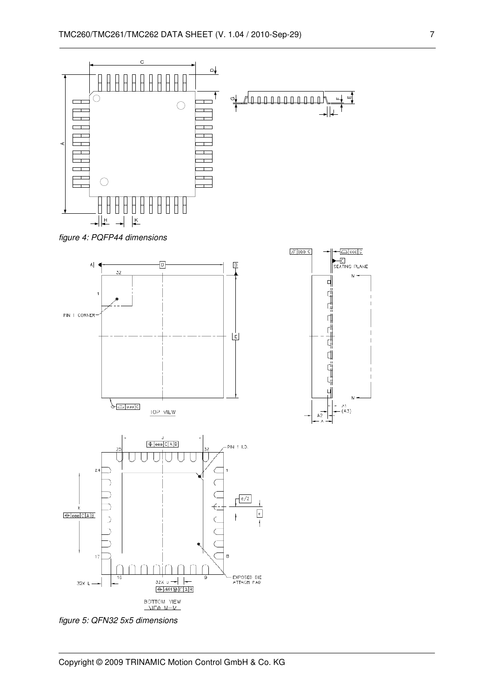

figure 4: PQFP44 dimensions



figure 5: QFN32 5x5 dimensions



Copyright © 2009 TRINAMIC Motion Control GmbH & Co. KG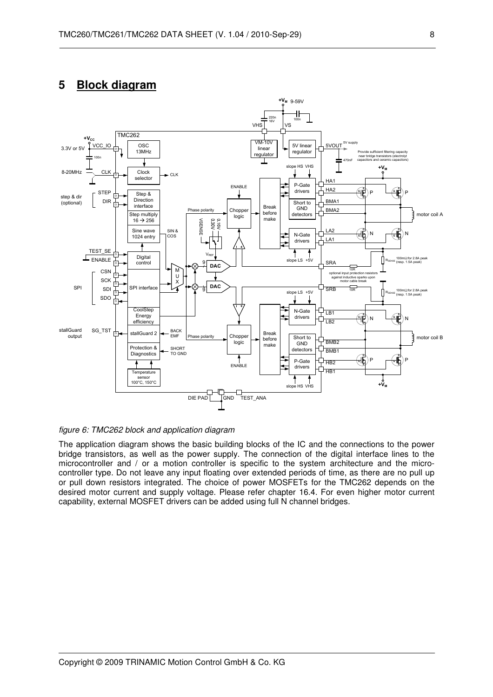## **5 Block diagram**



figure 6: TMC262 block and application diagram

The application diagram shows the basic building blocks of the IC and the connections to the power bridge transistors, as well as the power supply. The connection of the digital interface lines to the microcontroller and / or a motion controller is specific to the system architecture and the microcontroller type. Do not leave any input floating over extended periods of time, as there are no pull up or pull down resistors integrated. The choice of power MOSFETs for the TMC262 depends on the desired motor current and supply voltage. Please refer chapter 16.4. For even higher motor current capability, external MOSFET drivers can be added using full N channel bridges.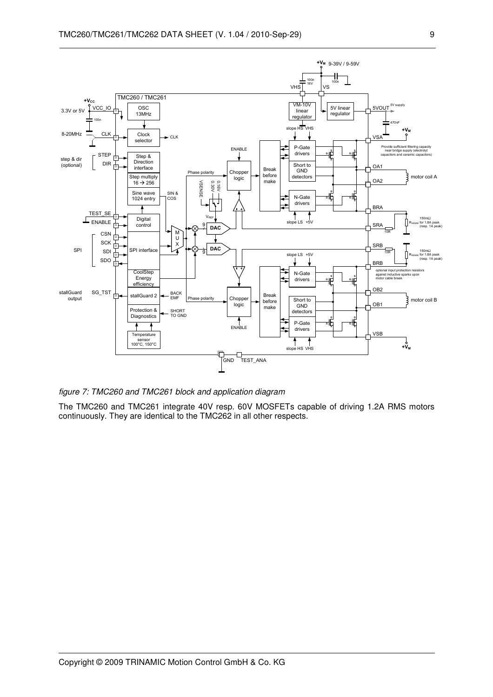

figure 7: TMC260 and TMC261 block and application diagram

The TMC260 and TMC261 integrate 40V resp. 60V MOSFETs capable of driving 1.2A RMS motors continuously. They are identical to the TMC262 in all other respects.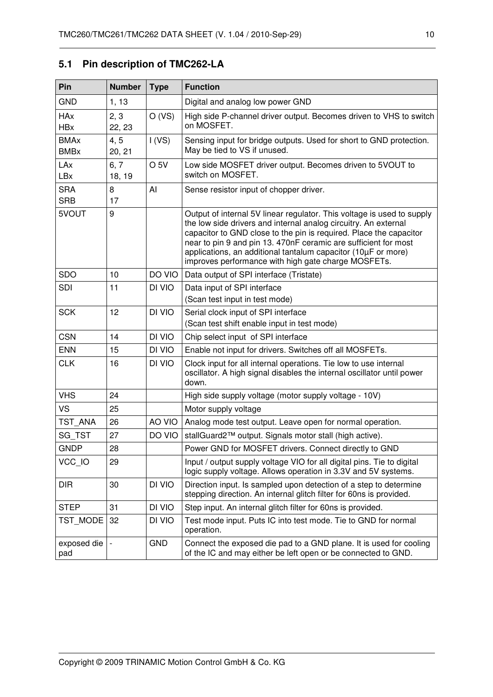## **5.1 Pin description of TMC262-LA**

| Pin                                  | <b>Number</b>  | <b>Type</b>     | <b>Function</b>                                                                                                                                                                                                                                                                                                                                                                                            |  |
|--------------------------------------|----------------|-----------------|------------------------------------------------------------------------------------------------------------------------------------------------------------------------------------------------------------------------------------------------------------------------------------------------------------------------------------------------------------------------------------------------------------|--|
| <b>GND</b>                           | 1, 13          |                 | Digital and analog low power GND                                                                                                                                                                                                                                                                                                                                                                           |  |
| <b>HAx</b><br><b>HB</b> <sub>x</sub> | 2, 3<br>22, 23 | O (VS)          | High side P-channel driver output. Becomes driven to VHS to switch<br>on MOSFET.                                                                                                                                                                                                                                                                                                                           |  |
| <b>BMAx</b><br><b>BMB</b> x          | 4, 5<br>20, 21 | I(VS)           | Sensing input for bridge outputs. Used for short to GND protection.<br>May be tied to VS if unused.                                                                                                                                                                                                                                                                                                        |  |
| LAx<br>LBx                           | 6, 7<br>18, 19 | O <sub>5V</sub> | Low side MOSFET driver output. Becomes driven to 5VOUT to<br>switch on MOSFET.                                                                                                                                                                                                                                                                                                                             |  |
| <b>SRA</b><br><b>SRB</b>             | 8<br>17        | AI              | Sense resistor input of chopper driver.                                                                                                                                                                                                                                                                                                                                                                    |  |
| 5VOUT                                | 9              |                 | Output of internal 5V linear regulator. This voltage is used to supply<br>the low side drivers and internal analog circuitry. An external<br>capacitor to GND close to the pin is required. Place the capacitor<br>near to pin 9 and pin 13. 470nF ceramic are sufficient for most<br>applications, an additional tantalum capacitor (10µF or more)<br>improves performance with high gate charge MOSFETs. |  |
| <b>SDO</b>                           | 10             | DO VIO          | Data output of SPI interface (Tristate)                                                                                                                                                                                                                                                                                                                                                                    |  |
| <b>SDI</b>                           | 11             | DI VIO          | Data input of SPI interface<br>(Scan test input in test mode)                                                                                                                                                                                                                                                                                                                                              |  |
| <b>SCK</b>                           | 12             | DI VIO          | Serial clock input of SPI interface<br>(Scan test shift enable input in test mode)                                                                                                                                                                                                                                                                                                                         |  |
| <b>CSN</b>                           | 14             | DI VIO          | Chip select input of SPI interface                                                                                                                                                                                                                                                                                                                                                                         |  |
| <b>ENN</b>                           | 15             | DI VIO          | Enable not input for drivers. Switches off all MOSFETs.                                                                                                                                                                                                                                                                                                                                                    |  |
| <b>CLK</b><br>16<br>DI VIO<br>down.  |                |                 | Clock input for all internal operations. Tie low to use internal<br>oscillator. A high signal disables the internal oscillator until power                                                                                                                                                                                                                                                                 |  |
| <b>VHS</b>                           | 24             |                 | High side supply voltage (motor supply voltage - 10V)                                                                                                                                                                                                                                                                                                                                                      |  |
| <b>VS</b>                            | 25             |                 | Motor supply voltage                                                                                                                                                                                                                                                                                                                                                                                       |  |
| TST ANA                              | 26             | AO VIO          | Analog mode test output. Leave open for normal operation.                                                                                                                                                                                                                                                                                                                                                  |  |
| SG_TST                               | 27             | DO VIO          | stallGuard2™ output. Signals motor stall (high active).                                                                                                                                                                                                                                                                                                                                                    |  |
| <b>GNDP</b>                          | 28             |                 | Power GND for MOSFET drivers. Connect directly to GND                                                                                                                                                                                                                                                                                                                                                      |  |
| VCC IO                               | 29             |                 | Input / output supply voltage VIO for all digital pins. Tie to digital<br>logic supply voltage. Allows operation in 3.3V and 5V systems.                                                                                                                                                                                                                                                                   |  |
| <b>DIR</b>                           | 30             | DI VIO          | Direction input. Is sampled upon detection of a step to determine<br>stepping direction. An internal glitch filter for 60ns is provided.                                                                                                                                                                                                                                                                   |  |
| <b>STEP</b>                          | 31             | DI VIO          | Step input. An internal glitch filter for 60ns is provided.                                                                                                                                                                                                                                                                                                                                                |  |
| TST MODE                             | 32             | DI VIO          | Test mode input. Puts IC into test mode. Tie to GND for normal<br>operation.                                                                                                                                                                                                                                                                                                                               |  |
| exposed die<br>pad                   |                | <b>GND</b>      | Connect the exposed die pad to a GND plane. It is used for cooling<br>of the IC and may either be left open or be connected to GND.                                                                                                                                                                                                                                                                        |  |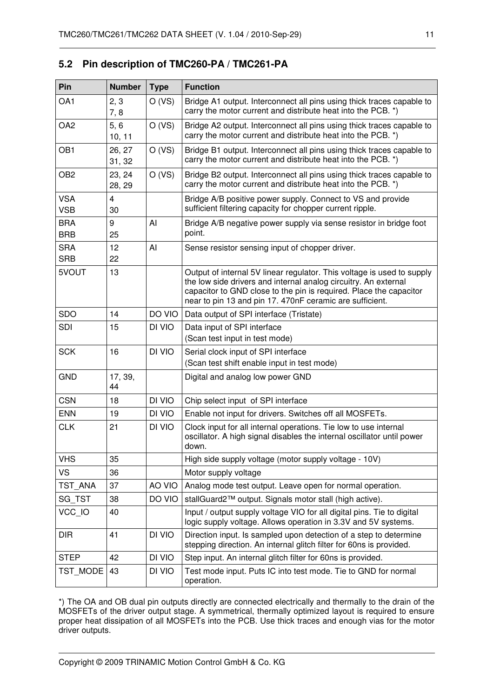| Pin                      | <b>Number</b>        | <b>Type</b> | <b>Function</b>                                                                                                                                                                                                                                                             |  |  |
|--------------------------|----------------------|-------------|-----------------------------------------------------------------------------------------------------------------------------------------------------------------------------------------------------------------------------------------------------------------------------|--|--|
| OA1                      | 2, 3<br>7,8          | O (VS)      | Bridge A1 output. Interconnect all pins using thick traces capable to<br>carry the motor current and distribute heat into the PCB. *)                                                                                                                                       |  |  |
| OA <sub>2</sub>          | 5, 6<br>10, 11       | O (VS)      | Bridge A2 output. Interconnect all pins using thick traces capable to<br>carry the motor current and distribute heat into the PCB. *)                                                                                                                                       |  |  |
| OB <sub>1</sub>          | 26, 27<br>31, 32     | O (VS)      | Bridge B1 output. Interconnect all pins using thick traces capable to<br>carry the motor current and distribute heat into the PCB. *)                                                                                                                                       |  |  |
| OB <sub>2</sub>          | 23, 24<br>28, 29     | O (VS)      | Bridge B2 output. Interconnect all pins using thick traces capable to<br>carry the motor current and distribute heat into the PCB. *)                                                                                                                                       |  |  |
| <b>VSA</b><br><b>VSB</b> | $\overline{4}$<br>30 |             | Bridge A/B positive power supply. Connect to VS and provide<br>sufficient filtering capacity for chopper current ripple.                                                                                                                                                    |  |  |
| <b>BRA</b><br><b>BRB</b> | 9<br>25              | Al          | Bridge A/B negative power supply via sense resistor in bridge foot<br>point.                                                                                                                                                                                                |  |  |
| <b>SRA</b><br><b>SRB</b> | 12<br>22             | AI          | Sense resistor sensing input of chopper driver.                                                                                                                                                                                                                             |  |  |
| 5VOUT<br>13              |                      |             | Output of internal 5V linear regulator. This voltage is used to supply<br>the low side drivers and internal analog circuitry. An external<br>capacitor to GND close to the pin is required. Place the capacitor<br>near to pin 13 and pin 17. 470nF ceramic are sufficient. |  |  |
| <b>SDO</b>               | 14                   | DO VIO      | Data output of SPI interface (Tristate)                                                                                                                                                                                                                                     |  |  |
| <b>SDI</b>               | 15                   | DI VIO      | Data input of SPI interface<br>(Scan test input in test mode)                                                                                                                                                                                                               |  |  |
| <b>SCK</b>               | 16                   | DI VIO      | Serial clock input of SPI interface<br>(Scan test shift enable input in test mode)                                                                                                                                                                                          |  |  |
| <b>GND</b>               | 17, 39,<br>44        |             | Digital and analog low power GND                                                                                                                                                                                                                                            |  |  |
| <b>CSN</b>               | 18                   | DI VIO      | Chip select input of SPI interface                                                                                                                                                                                                                                          |  |  |
| <b>ENN</b>               | 19                   | DI VIO      | Enable not input for drivers. Switches off all MOSFETs.                                                                                                                                                                                                                     |  |  |
| <b>CLK</b>               | 21                   | DI VIO      | Clock input for all internal operations. Tie low to use internal<br>oscillator. A high signal disables the internal oscillator until power<br>down.                                                                                                                         |  |  |
| <b>VHS</b>               | 35                   |             | High side supply voltage (motor supply voltage - 10V)                                                                                                                                                                                                                       |  |  |
| <b>VS</b>                | 36                   |             | Motor supply voltage                                                                                                                                                                                                                                                        |  |  |
| TST ANA                  | 37                   | AO VIO      | Analog mode test output. Leave open for normal operation.                                                                                                                                                                                                                   |  |  |
| SG TST                   | 38                   | DO VIO      | stallGuard2™ output. Signals motor stall (high active).                                                                                                                                                                                                                     |  |  |
| VCC IO                   | 40                   |             | Input / output supply voltage VIO for all digital pins. Tie to digital<br>logic supply voltage. Allows operation in 3.3V and 5V systems.                                                                                                                                    |  |  |
| <b>DIR</b>               | 41                   | DI VIO      | Direction input. Is sampled upon detection of a step to determine<br>stepping direction. An internal glitch filter for 60ns is provided.                                                                                                                                    |  |  |
| <b>STEP</b>              | 42                   | DI VIO      | Step input. An internal glitch filter for 60ns is provided.                                                                                                                                                                                                                 |  |  |
| TST MODE                 | 43                   | DI VIO      | Test mode input. Puts IC into test mode. Tie to GND for normal<br>operation.                                                                                                                                                                                                |  |  |

## **5.2 Pin description of TMC260-PA / TMC261-PA**

\*) The OA and OB dual pin outputs directly are connected electrically and thermally to the drain of the MOSFETs of the driver output stage. A symmetrical, thermally optimized layout is required to ensure proper heat dissipation of all MOSFETs into the PCB. Use thick traces and enough vias for the motor driver outputs.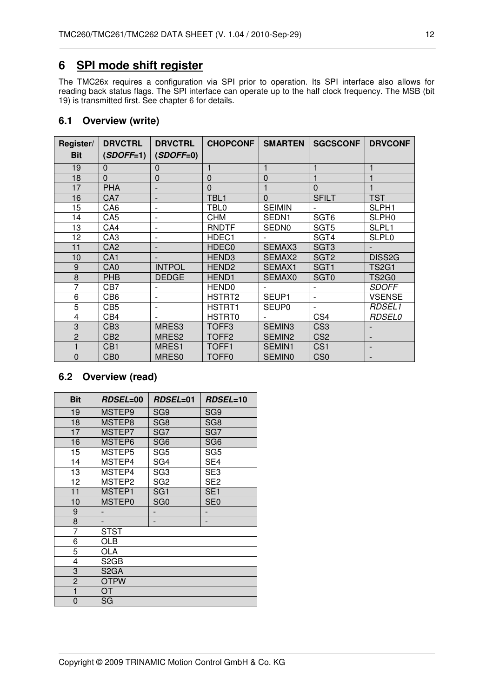## **6 SPI mode shift register**

The TMC26x requires a configuration via SPI prior to operation. Its SPI interface also allows for reading back status flags. The SPI interface can operate up to the half clock frequency. The MSB (bit 19) is transmitted first. See chapter 6 for details.

### **6.1 Overview (write)**

| Register/<br><b>Bit</b> | <b>DRVCTRL</b><br>$(SDOFF=1)$ | <b>DRVCTRL</b><br>$(SDOFF=0)$ | <b>CHOPCONF</b>   | <b>SMARTEN</b>     | <b>SGCSCONF</b>  | <b>DRVCONF</b>           |
|-------------------------|-------------------------------|-------------------------------|-------------------|--------------------|------------------|--------------------------|
| 19                      | $\mathbf{0}$                  | 0                             |                   |                    |                  |                          |
| 18                      | $\Omega$                      | $\mathbf 0$                   | $\mathbf 0$       | $\mathbf 0$        |                  |                          |
| 17                      | <b>PHA</b>                    |                               | $\overline{0}$    |                    | $\Omega$         |                          |
| 16                      | CA7                           | $\overline{a}$                | TBL <sub>1</sub>  | $\Omega$           | <b>SFILT</b>     | <b>TST</b>               |
| 15                      | CA6                           | $\overline{\phantom{0}}$      | TBL0              | <b>SEIMIN</b>      |                  | SLPH <sub>1</sub>        |
| 14                      | CA5                           | $\overline{\phantom{0}}$      | СНМ               | SEDN <sub>1</sub>  | SGT <sub>6</sub> | SLPH <sub>0</sub>        |
| 13                      | CA4                           | $\overline{\phantom{a}}$      | <b>RNDTF</b>      | <b>SEDN0</b>       | SGT <sub>5</sub> | SLPL <sub>1</sub>        |
| 12                      | CA <sub>3</sub>               | $\overline{a}$                | HDEC1             |                    | SGT4             | <b>SLPL0</b>             |
| 11                      | CA <sub>2</sub>               |                               | HDEC0             | SEMAX3             | SGT <sub>3</sub> |                          |
| 10                      | CA <sub>1</sub>               |                               | HEND <sub>3</sub> | SEMAX <sub>2</sub> | SGT <sub>2</sub> | DISS2G                   |
| 9                       | CA <sub>0</sub>               | <b>INTPOL</b>                 | HEND <sub>2</sub> | SEMAX1             | SGT <sub>1</sub> | <b>TS2G1</b>             |
| 8                       | <b>PHB</b>                    | <b>DEDGE</b>                  | HEND <sub>1</sub> | SEMAX0             | SGT <sub>0</sub> | TS2G0                    |
| 7                       | CB7                           |                               | <b>HEND0</b>      |                    |                  | <b>SDOFF</b>             |
| 6                       | CB6                           |                               | HSTRT2            | SEUP1              |                  | <b>VSENSE</b>            |
| 5                       | CB5                           | $\overline{\phantom{a}}$      | HSTRT1            | <b>SEUP0</b>       |                  | <b>RDSEL1</b>            |
| 4                       | CB4                           |                               | HSTRT0            |                    | CS4              | <i>RDSEL0</i>            |
| 3                       | CB3                           | MRES3                         | TOFF <sub>3</sub> | SEMIN <sub>3</sub> | CS <sub>3</sub>  |                          |
| $\overline{2}$          | CB <sub>2</sub>               | MRES2                         | TOFF <sub>2</sub> | SEMIN2             | CS <sub>2</sub>  | $\overline{\phantom{a}}$ |
| 1                       | CB <sub>1</sub>               | MRES1                         | TOFF1             | <b>SEMIN1</b>      | CS <sub>1</sub>  |                          |
| $\mathbf 0$             | CB <sub>0</sub>               | MRES0                         | TOFF0             | <b>SEMIN0</b>      | C <sub>S0</sub>  |                          |

## **6.2 Overview (read)**

| <b>Bit</b>     | <b>RDSEL=00</b>   | RDSEL=01        | RDSEL=10        |
|----------------|-------------------|-----------------|-----------------|
| 19             | MSTEP9            | SG <sub>9</sub> | SG9             |
| 18             | MSTEP8            | SG <sub>8</sub> | SG <sub>8</sub> |
| 17             | MSTEP7            | SG7             | SG7             |
| 16             | MSTEP6            | SG <sub>6</sub> | SG <sub>6</sub> |
| 15             | MSTEP5            | SG5             | SG <sub>5</sub> |
| 14             | MSTEP4            | SG4             | SE4             |
| 13             | MSTEP4            | SG <sub>3</sub> | SE <sub>3</sub> |
| 12             | MSTEP2            | SG <sub>2</sub> | SE <sub>2</sub> |
| 11             | MSTEP1            | SG <sub>1</sub> | SE <sub>1</sub> |
| 10             | MSTEP0            | SG <sub>0</sub> | SE0             |
| 9              |                   |                 |                 |
| 8              |                   |                 |                 |
| 7              | <b>STST</b>       |                 |                 |
| 6              | OLB               |                 |                 |
| 5              | OLA               |                 |                 |
| 4              | S <sub>2</sub> GB |                 |                 |
| 3              | S <sub>2</sub> GA |                 |                 |
| $\overline{2}$ | <b>OTPW</b>       |                 |                 |
| 1              | OT                |                 |                 |
| 0              | SG                |                 |                 |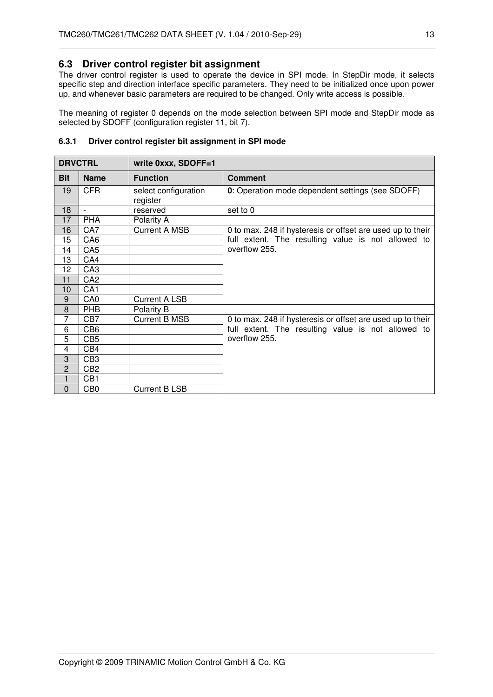### **6.3 Driver control register bit assignment**

The driver control register is used to operate the device in SPI mode. In StepDir mode, it selects specific step and direction interface specific parameters. They need to be initialized once upon power up, and whenever basic parameters are required to be changed. Only write access is possible.

The meaning of register 0 depends on the mode selection between SPI mode and StepDir mode as selected by SDOFF (configuration register 11, bit 7).

| <b>DRVCTRL</b> |                 | write 0xxx, SDOFF=1              |                                                            |
|----------------|-----------------|----------------------------------|------------------------------------------------------------|
| <b>Bit</b>     | <b>Name</b>     | <b>Function</b>                  | <b>Comment</b>                                             |
| 19             | <b>CFR</b>      | select configuration<br>register | 0: Operation mode dependent settings (see SDOFF)           |
| 18             | $\overline{a}$  | reserved                         | set to 0                                                   |
| 17             | <b>PHA</b>      | Polarity A                       |                                                            |
| 16             | CA7             | <b>Current A MSB</b>             | 0 to max. 248 if hysteresis or offset are used up to their |
| 15             | CA <sub>6</sub> |                                  | full extent. The resulting value is not allowed to         |
| 14             | CA <sub>5</sub> |                                  | overflow 255.                                              |
| 13             | CA4             |                                  |                                                            |
| 12             | CA <sub>3</sub> |                                  |                                                            |
| 11             | CA <sub>2</sub> |                                  |                                                            |
| 10             | CA <sub>1</sub> |                                  |                                                            |
| $9\,$          | CA <sub>0</sub> | <b>Current A LSB</b>             |                                                            |
| 8              | <b>PHB</b>      | Polarity B                       |                                                            |
| $\overline{7}$ | CB7             | <b>Current B MSB</b>             | 0 to max. 248 if hysteresis or offset are used up to their |
| 6              | CB <sub>6</sub> |                                  | full extent. The resulting value is not allowed to         |
| 5              | CB <sub>5</sub> |                                  | overflow 255.                                              |
| 4              | CB4             |                                  |                                                            |
| 3              | CB <sub>3</sub> |                                  |                                                            |
| $\overline{c}$ | CB <sub>2</sub> |                                  |                                                            |
| $\mathbf{1}$   | CB <sub>1</sub> |                                  |                                                            |
| $\mathbf 0$    | CB <sub>0</sub> | <b>Current B LSB</b>             |                                                            |

#### **6.3.1 Driver control register bit assignment in SPI mode**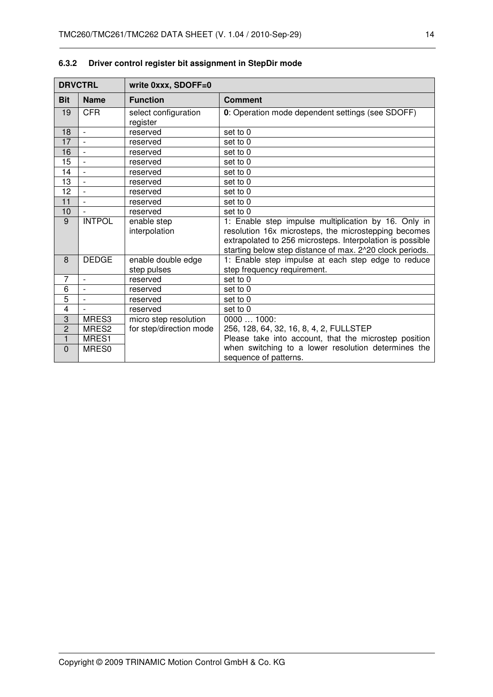|                | <b>DRVCTRL</b>           | write 0xxx, SDOFF=0               |                                                                                                                                                                                                                                       |  |
|----------------|--------------------------|-----------------------------------|---------------------------------------------------------------------------------------------------------------------------------------------------------------------------------------------------------------------------------------|--|
| <b>Bit</b>     | <b>Name</b>              | <b>Function</b>                   | <b>Comment</b>                                                                                                                                                                                                                        |  |
| 19             | <b>CFR</b>               | select configuration<br>register  | 0: Operation mode dependent settings (see SDOFF)                                                                                                                                                                                      |  |
| 18             | $\overline{\phantom{a}}$ | reserved                          | set to 0                                                                                                                                                                                                                              |  |
| 17             |                          | reserved                          | set to 0                                                                                                                                                                                                                              |  |
| 16             | $\overline{\phantom{a}}$ | reserved                          | set to 0                                                                                                                                                                                                                              |  |
| 15             | $\overline{\phantom{a}}$ | reserved                          | set to 0                                                                                                                                                                                                                              |  |
| 14             | $\overline{a}$           | reserved                          | set to 0                                                                                                                                                                                                                              |  |
| 13             | $\blacksquare$           | reserved                          | set to 0                                                                                                                                                                                                                              |  |
| 12             | $\overline{a}$           | reserved                          | set to 0                                                                                                                                                                                                                              |  |
| 11             | $\overline{a}$           | reserved                          | set to 0                                                                                                                                                                                                                              |  |
| 10             |                          | reserved                          | set to 0                                                                                                                                                                                                                              |  |
| 9              | <b>INTPOL</b>            | enable step<br>interpolation      | 1: Enable step impulse multiplication by 16. Only in<br>resolution 16x microsteps, the microstepping becomes<br>extrapolated to 256 microsteps. Interpolation is possible<br>starting below step distance of max. 2^20 clock periods. |  |
| 8              | <b>DEDGE</b>             | enable double edge<br>step pulses | 1: Enable step impulse at each step edge to reduce<br>step frequency requirement.                                                                                                                                                     |  |
| 7              | $\overline{\phantom{a}}$ | reserved                          | set to 0                                                                                                                                                                                                                              |  |
| 6              | $\overline{\phantom{a}}$ | reserved                          | set to 0                                                                                                                                                                                                                              |  |
| $\overline{5}$ | $\overline{a}$           | reserved                          | set to 0                                                                                                                                                                                                                              |  |
| 4              |                          | reserved                          | set to 0                                                                                                                                                                                                                              |  |
| 3              | MRES3                    | micro step resolution             | 00001000:                                                                                                                                                                                                                             |  |
| $\overline{2}$ | MRES2                    | for step/direction mode           | 256, 128, 64, 32, 16, 8, 4, 2, FULLSTEP                                                                                                                                                                                               |  |
| $\mathbf{1}$   | MRES1                    |                                   | Please take into account, that the microstep position                                                                                                                                                                                 |  |
| $\mathbf 0$    | MRES0                    |                                   | when switching to a lower resolution determines the<br>sequence of patterns.                                                                                                                                                          |  |

## **6.3.2 Driver control register bit assignment in StepDir mode**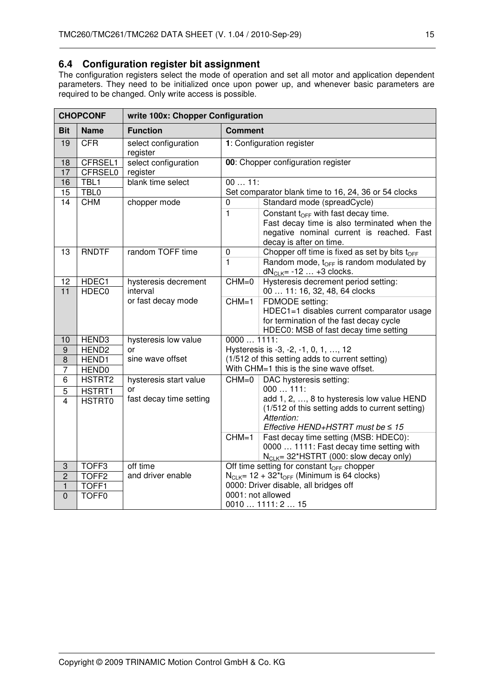### **6.4 Configuration register bit assignment**

The configuration registers select the mode of operation and set all motor and application dependent parameters. They need to be initialized once upon power up, and whenever basic parameters are required to be changed. Only write access is possible.

|                       | <b>CHOPCONF</b>                | write 100x: Chopper Configuration |                                                             |                                                                                                                                                                        |  |  |
|-----------------------|--------------------------------|-----------------------------------|-------------------------------------------------------------|------------------------------------------------------------------------------------------------------------------------------------------------------------------------|--|--|
| <b>Bit</b>            | <b>Name</b>                    | <b>Function</b>                   | <b>Comment</b>                                              |                                                                                                                                                                        |  |  |
| 19                    | <b>CFR</b>                     | select configuration<br>register  |                                                             | 1: Configuration register                                                                                                                                              |  |  |
| 18<br>17              | CFRSEL1<br><b>CFRSEL0</b>      | select configuration<br>register  |                                                             | 00: Chopper configuration register                                                                                                                                     |  |  |
| 16                    | TBL1                           | blank time select                 | $0011$ :                                                    |                                                                                                                                                                        |  |  |
| $\overline{15}$<br>14 | TBL <sub>0</sub><br><b>CHM</b> | chopper mode                      | 0                                                           | Set comparator blank time to 16, 24, 36 or 54 clocks<br>Standard mode (spreadCycle)                                                                                    |  |  |
|                       |                                |                                   | $\mathbf{1}$                                                | Constant $t_{\text{OFF}}$ with fast decay time.<br>Fast decay time is also terminated when the<br>negative nominal current is reached. Fast<br>decay is after on time. |  |  |
| 13                    | <b>RNDTF</b>                   | random TOFF time                  | $\pmb{0}$                                                   | Chopper off time is fixed as set by bits t <sub>OFF</sub>                                                                                                              |  |  |
|                       |                                |                                   | 1                                                           | Random mode, $t_{OFF}$ is random modulated by<br>$dNCLK = -12  +3 clocks.$                                                                                             |  |  |
| 12                    | HDEC1                          | hysteresis decrement              | $CHM=0$                                                     | Hysteresis decrement period setting:                                                                                                                                   |  |  |
| $\overline{11}$       | HDEC <sub>0</sub>              | interval                          |                                                             | 00  11: 16, 32, 48, 64 clocks                                                                                                                                          |  |  |
|                       |                                | or fast decay mode                | $CHM=1$                                                     | FDMODE setting:<br>HDEC1=1 disables current comparator usage<br>for termination of the fast decay cycle<br>HDEC0: MSB of fast decay time setting                       |  |  |
| 10                    | HEND3                          | hysteresis low value              | 00001111:                                                   |                                                                                                                                                                        |  |  |
| $9$                   | HEND <sub>2</sub>              | or                                |                                                             | Hysteresis is -3, -2, -1, 0, 1, , 12                                                                                                                                   |  |  |
| $\overline{8}$        | HEND1                          | sine wave offset                  |                                                             | (1/512 of this setting adds to current setting)                                                                                                                        |  |  |
| $\overline{7}$        | HEND <sub>0</sub>              |                                   |                                                             | With CHM=1 this is the sine wave offset.                                                                                                                               |  |  |
| $\overline{6}$        | HSTRT2                         | hysteresis start value<br>or      | $CHM=0$                                                     | DAC hysteresis setting:<br>$000111$ :                                                                                                                                  |  |  |
| $\overline{5}$<br>4   | HSTRT1<br><b>HSTRT0</b>        | fast decay time setting           |                                                             | add 1, 2, , 8 to hysteresis low value HEND                                                                                                                             |  |  |
|                       |                                |                                   |                                                             | (1/512 of this setting adds to current setting)<br>Attention:<br>Effective HEND+HSTRT must be $\leq 15$                                                                |  |  |
|                       |                                |                                   | $CHM=1$                                                     | Fast decay time setting (MSB: HDEC0):                                                                                                                                  |  |  |
|                       |                                |                                   |                                                             | 0000  1111: Fast decay time setting with<br>N <sub>CLK</sub> = 32*HSTRT (000: slow decay only)                                                                         |  |  |
| 3                     | TOFF <sub>3</sub>              | off time                          |                                                             | Off time setting for constant $t_{\text{OFF}}$ chopper                                                                                                                 |  |  |
| $\overline{2}$        | TOFF <sub>2</sub>              | and driver enable                 | $N_{CLK}$ = 12 + 32*t <sub>OFF</sub> (Minimum is 64 clocks) |                                                                                                                                                                        |  |  |
| $\mathbf{1}$          | TOFF1                          |                                   |                                                             | 0000: Driver disable, all bridges off                                                                                                                                  |  |  |
| $\mathbf 0$           | TOFF <sub>0</sub>              |                                   | 0001: not allowed                                           | 00101111:215                                                                                                                                                           |  |  |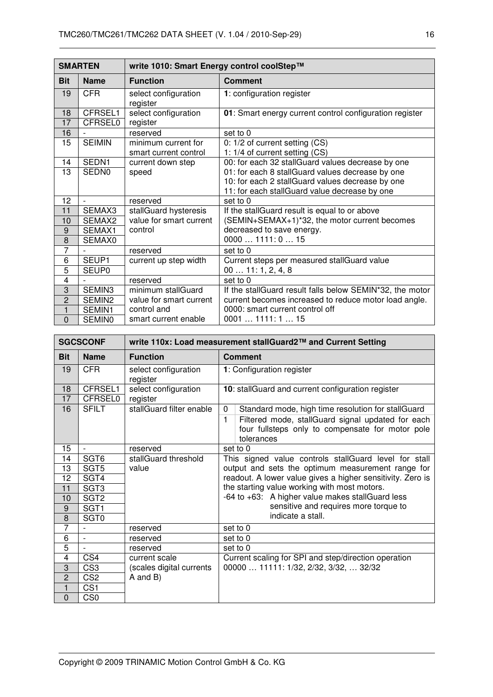|                | <b>SMARTEN</b>            | write 1010: Smart Energy control coolStep™   |                                                                                                   |  |  |
|----------------|---------------------------|----------------------------------------------|---------------------------------------------------------------------------------------------------|--|--|
| <b>Bit</b>     | <b>Name</b>               | <b>Function</b>                              | <b>Comment</b>                                                                                    |  |  |
| 19             | <b>CFR</b>                | select configuration<br>register             | 1: configuration register                                                                         |  |  |
| 18<br>17       | CFRSEL1<br><b>CFRSEL0</b> | select configuration<br>register             | 01: Smart energy current control configuration register                                           |  |  |
| 16             |                           | reserved                                     | set to 0                                                                                          |  |  |
| 15             | <b>SEIMIN</b>             | minimum current for<br>smart current control | 0: 1/2 of current setting (CS)<br>1: 1/4 of current setting (CS)                                  |  |  |
| 14             | SEDN1                     | current down step                            | 00: for each 32 stallGuard values decrease by one                                                 |  |  |
| 13             | SEDN <sub>0</sub>         | speed                                        | 01: for each 8 stallGuard values decrease by one                                                  |  |  |
|                |                           |                                              | 10: for each 2 stallGuard values decrease by one<br>11: for each stallGuard value decrease by one |  |  |
| 12             |                           | reserved                                     | set to 0                                                                                          |  |  |
| 11             | SEMAX3                    | stallGuard hysteresis                        | If the stallGuard result is equal to or above                                                     |  |  |
| 10             | SEMAX2                    | value for smart current                      | (SEMIN+SEMAX+1)*32, the motor current becomes                                                     |  |  |
| 9              | SEMAX1                    | control                                      | decreased to save energy.                                                                         |  |  |
| 8              | SEMAX0                    |                                              | 00001111:015                                                                                      |  |  |
| 7              |                           | reserved                                     | set to 0                                                                                          |  |  |
| 6              | SEUP1                     | current up step width                        | Current steps per measured stallGuard value                                                       |  |  |
| 5              | SEUP <sub>0</sub>         |                                              | 0011:1, 2, 4, 8                                                                                   |  |  |
| $\overline{4}$ |                           | reserved                                     | set to 0                                                                                          |  |  |
| 3              | SEMIN3                    | minimum stallGuard                           | If the stallGuard result falls below SEMIN*32, the motor                                          |  |  |
| $\overline{c}$ | SEMIN2                    | value for smart current                      | current becomes increased to reduce motor load angle.                                             |  |  |
| $\mathbf{1}$   | SEMIN1                    | control and                                  | 0000: smart current control off                                                                   |  |  |
| $\overline{0}$ | <b>SEMINO</b>             | smart current enable                         | 00011111:115                                                                                      |  |  |

|                | <b>SGCSCONF</b>          | write 110x: Load measurement stallGuard2™ and Current Setting |                                                                                                                          |  |  |
|----------------|--------------------------|---------------------------------------------------------------|--------------------------------------------------------------------------------------------------------------------------|--|--|
| <b>Bit</b>     | <b>Name</b>              | <b>Function</b>                                               | <b>Comment</b>                                                                                                           |  |  |
| 19             | <b>CFR</b>               | select configuration<br>register                              | 1: Configuration register                                                                                                |  |  |
| 18             | CFRSEL1                  | select configuration                                          | 10: stallGuard and current configuration register                                                                        |  |  |
| 17             | <b>CFRSEL0</b>           | register                                                      |                                                                                                                          |  |  |
| 16             | <b>SFILT</b>             | stallGuard filter enable                                      | Standard mode, high time resolution for stallGuard<br>$\Omega$                                                           |  |  |
|                |                          |                                                               | Filtered mode, stallGuard signal updated for each<br>1<br>four fullsteps only to compensate for motor pole<br>tolerances |  |  |
| 15             | $\overline{a}$           | reserved                                                      | set to 0                                                                                                                 |  |  |
| 14             | SGT <sub>6</sub>         | stallGuard threshold                                          | This signed value controls stallGuard level for stall                                                                    |  |  |
| 13             | SGT <sub>5</sub>         | value                                                         | output and sets the optimum measurement range for                                                                        |  |  |
| 12             | SGT4                     |                                                               | readout. A lower value gives a higher sensitivity. Zero is                                                               |  |  |
| 11             | SGT <sub>3</sub>         |                                                               | the starting value working with most motors.                                                                             |  |  |
| 10             | SGT <sub>2</sub>         |                                                               | -64 to +63: A higher value makes stallGuard less                                                                         |  |  |
| $9$            | SGT <sub>1</sub>         |                                                               | sensitive and requires more torque to                                                                                    |  |  |
| 8              | SGT <sub>0</sub>         |                                                               | indicate a stall.                                                                                                        |  |  |
| $\overline{7}$ |                          | reserved                                                      | set to 0                                                                                                                 |  |  |
| 6              | $\overline{\phantom{0}}$ | reserved                                                      | set to 0                                                                                                                 |  |  |
| 5              |                          | reserved                                                      | set to 0                                                                                                                 |  |  |
| 4              | CS4                      | current scale                                                 | Current scaling for SPI and step/direction operation                                                                     |  |  |
| 3              | CS <sub>3</sub>          | (scales digital currents                                      | 00000  11111: 1/32, 2/32, 3/32,  32/32                                                                                   |  |  |
| $\overline{2}$ | CS <sub>2</sub>          | A and B)                                                      |                                                                                                                          |  |  |
| 1              | CS <sub>1</sub>          |                                                               |                                                                                                                          |  |  |
| 0              | CS <sub>0</sub>          |                                                               |                                                                                                                          |  |  |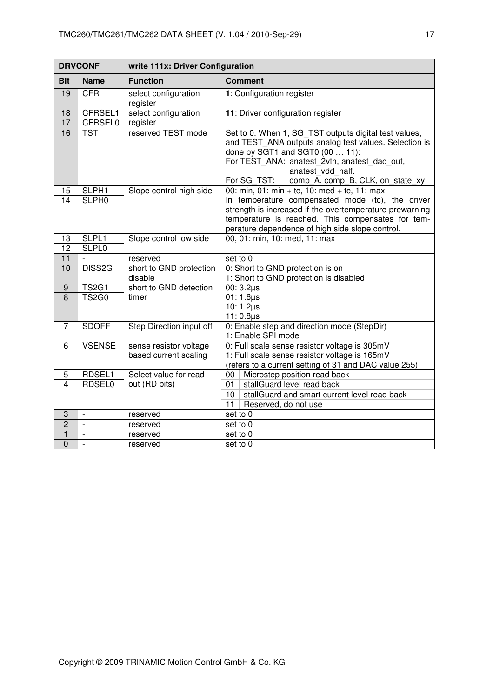|                         | <b>DRVCONF</b>            | write 111x: Driver Configuration                |                                                                                                                                                                                                                                                                           |  |  |
|-------------------------|---------------------------|-------------------------------------------------|---------------------------------------------------------------------------------------------------------------------------------------------------------------------------------------------------------------------------------------------------------------------------|--|--|
| <b>Bit</b>              | <b>Name</b>               | <b>Function</b>                                 | <b>Comment</b>                                                                                                                                                                                                                                                            |  |  |
| 19                      | <b>CFR</b>                | select configuration<br>register                | 1: Configuration register                                                                                                                                                                                                                                                 |  |  |
| 18<br>17                | CFRSEL1<br><b>CFRSEL0</b> | select configuration<br>register                | 11: Driver configuration register                                                                                                                                                                                                                                         |  |  |
| 16                      | <b>TST</b>                | reserved TEST mode                              | Set to 0. When 1, SG_TST outputs digital test values,<br>and TEST_ANA outputs analog test values. Selection is<br>done by SGT1 and SGT0 (00  11):<br>For TEST_ANA: anatest_2vth, anatest_dac_out,<br>anatest vdd half.<br>For SG TST:<br>comp_A, comp_B, CLK, on_state_xy |  |  |
| 15                      | SLPH1                     | Slope control high side                         | 00: min, 01: min + tc, 10: med + tc, 11: max                                                                                                                                                                                                                              |  |  |
| $\overline{14}$         | SLPH <sub>0</sub>         |                                                 | In temperature compensated mode (tc), the driver<br>strength is increased if the overtemperature prewarning<br>temperature is reached. This compensates for tem-<br>perature dependence of high side slope control.                                                       |  |  |
| 13                      | SLPL1                     | Slope control low side                          | 00, 01: min, 10: med, 11: max                                                                                                                                                                                                                                             |  |  |
| $\overline{12}$         | <b>SLPL0</b>              |                                                 |                                                                                                                                                                                                                                                                           |  |  |
| 11                      |                           | reserved                                        | set to 0                                                                                                                                                                                                                                                                  |  |  |
| 10                      | DISS2G                    | short to GND protection<br>disable              | 0: Short to GND protection is on<br>1: Short to GND protection is disabled                                                                                                                                                                                                |  |  |
| $\boldsymbol{9}$        | <b>TS2G1</b>              | short to GND detection                          | $00:3.2\mu s$                                                                                                                                                                                                                                                             |  |  |
| 8                       | <b>TS2G0</b>              | timer                                           | $01:1.6 \mu s$<br>10: $1.2 \mu s$<br>$11:0.8\mu s$                                                                                                                                                                                                                        |  |  |
| $\overline{7}$          | <b>SDOFF</b>              | Step Direction input off                        | 0: Enable step and direction mode (StepDir)<br>1: Enable SPI mode                                                                                                                                                                                                         |  |  |
| 6                       | <b>VSENSE</b>             | sense resistor voltage<br>based current scaling | 0: Full scale sense resistor voltage is 305mV<br>1: Full scale sense resistor voltage is 165mV<br>(refers to a current setting of 31 and DAC value 255)                                                                                                                   |  |  |
| 5                       | RDSEL1                    | Select value for read                           | Microstep position read back<br>00                                                                                                                                                                                                                                        |  |  |
| $\overline{\mathbf{4}}$ | <b>RDSEL0</b>             | out (RD bits)                                   | stallGuard level read back<br>01                                                                                                                                                                                                                                          |  |  |
|                         |                           |                                                 | stallGuard and smart current level read back<br>10                                                                                                                                                                                                                        |  |  |
|                         |                           |                                                 | 11<br>Reserved, do not use                                                                                                                                                                                                                                                |  |  |
| 3                       | $\overline{a}$            | reserved                                        | set to 0                                                                                                                                                                                                                                                                  |  |  |
| $\overline{2}$          | $\overline{\phantom{m}}$  | reserved                                        | set to 0                                                                                                                                                                                                                                                                  |  |  |
| $\mathbf{1}$            | $\overline{a}$            | reserved                                        | set to 0                                                                                                                                                                                                                                                                  |  |  |
| $\overline{0}$          | $\mathbf{r}$              | reserved                                        | set to 0                                                                                                                                                                                                                                                                  |  |  |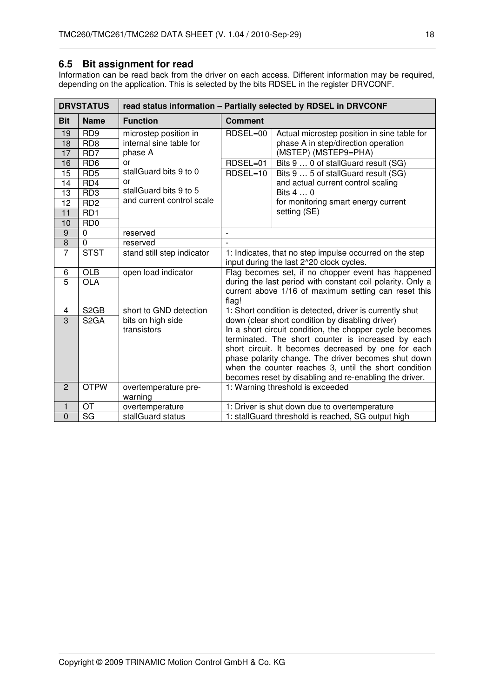### **6.5 Bit assignment for read**

Information can be read back from the driver on each access. Different information may be required, depending on the application. This is selected by the bits RDSEL in the register DRVCONF.

|                | <b>DRVSTATUS</b>            | read status information - Partially selected by RDSEL in DRVCONF |                                                                                                                             |                                                                                                           |  |  |  |
|----------------|-----------------------------|------------------------------------------------------------------|-----------------------------------------------------------------------------------------------------------------------------|-----------------------------------------------------------------------------------------------------------|--|--|--|
| <b>Bit</b>     | <b>Name</b>                 | <b>Function</b>                                                  | <b>Comment</b>                                                                                                              |                                                                                                           |  |  |  |
| 19             | RD <sub>9</sub>             | microstep position in                                            | RDSEL=00                                                                                                                    | Actual microstep position in sine table for                                                               |  |  |  |
| 18             | RD <sub>8</sub>             | internal sine table for                                          |                                                                                                                             | phase A in step/direction operation                                                                       |  |  |  |
| 17             | RD <sub>7</sub>             | phase A                                                          |                                                                                                                             | (MSTEP) (MSTEP9=PHA)                                                                                      |  |  |  |
| 16             | RD <sub>6</sub>             | 0r                                                               | RDSEL=01                                                                                                                    | Bits 9  0 of stallGuard result (SG)                                                                       |  |  |  |
| 15             | RD5                         | stallGuard bits 9 to 0                                           | RDSEL=10                                                                                                                    | Bits 9  5 of stallGuard result (SG)                                                                       |  |  |  |
| 14             | RD4                         | or                                                               |                                                                                                                             | and actual current control scaling                                                                        |  |  |  |
| 13             | RD <sub>3</sub>             | stallGuard bits 9 to 5                                           |                                                                                                                             | Bits 4  0                                                                                                 |  |  |  |
| 12             | RD <sub>2</sub>             | and current control scale                                        |                                                                                                                             | for monitoring smart energy current                                                                       |  |  |  |
| 11             | RD1                         |                                                                  |                                                                                                                             | setting (SE)                                                                                              |  |  |  |
| 10             | R <sub>D</sub> <sub>0</sub> |                                                                  |                                                                                                                             |                                                                                                           |  |  |  |
| 9              | $\mathbf 0$                 | reserved                                                         |                                                                                                                             |                                                                                                           |  |  |  |
| $\overline{8}$ | $\mathbf 0$                 | reserved                                                         |                                                                                                                             |                                                                                                           |  |  |  |
| $\overline{7}$ | <b>STST</b>                 | stand still step indicator                                       | 1: Indicates, that no step impulse occurred on the step<br>input during the last 2^20 clock cycles.                         |                                                                                                           |  |  |  |
| 6              | <b>OLB</b>                  | open load indicator                                              | Flag becomes set, if no chopper event has happened                                                                          |                                                                                                           |  |  |  |
| $\overline{5}$ | <b>OLA</b>                  |                                                                  | during the last period with constant coil polarity. Only a<br>current above 1/16 of maximum setting can reset this<br>flag! |                                                                                                           |  |  |  |
| 4              | S <sub>2</sub> GB           | short to GND detection                                           |                                                                                                                             | 1: Short condition is detected, driver is currently shut                                                  |  |  |  |
| $\overline{3}$ | S <sub>2</sub> GA           | bits on high side                                                |                                                                                                                             | down (clear short condition by disabling driver)                                                          |  |  |  |
|                |                             | transistors                                                      |                                                                                                                             | In a short circuit condition, the chopper cycle becomes                                                   |  |  |  |
|                |                             |                                                                  |                                                                                                                             | terminated. The short counter is increased by each<br>short circuit. It becomes decreased by one for each |  |  |  |
|                |                             |                                                                  |                                                                                                                             |                                                                                                           |  |  |  |
|                |                             |                                                                  | phase polarity change. The driver becomes shut down<br>when the counter reaches 3, until the short condition                |                                                                                                           |  |  |  |
|                |                             |                                                                  | becomes reset by disabling and re-enabling the driver.                                                                      |                                                                                                           |  |  |  |
| $\overline{2}$ | <b>OTPW</b>                 | overtemperature pre-<br>warning                                  |                                                                                                                             | 1: Warning threshold is exceeded                                                                          |  |  |  |
| 1              | OT                          | overtemperature                                                  |                                                                                                                             | 1: Driver is shut down due to overtemperature                                                             |  |  |  |
| $\overline{0}$ | $\overline{\text{SG}}$      | stallGuard status                                                |                                                                                                                             | 1: stallGuard threshold is reached, SG output high                                                        |  |  |  |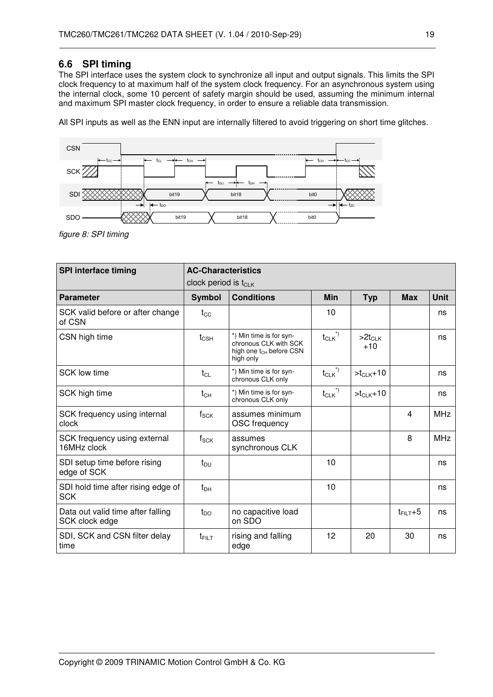## **6.6 SPI timing**

The SPI interface uses the system clock to synchronize all input and output signals. This limits the SPI clock frequency to at maximum half of the system clock frequency. For an asynchronous system using the internal clock, some 10 percent of safety margin should be used, assuming the minimum internal and maximum SPI master clock frequency, in order to ensure a reliable data transmission.

All SPI inputs as well as the ENN input are internally filtered to avoid triggering on short time glitches.



figure 8: SPI timing

| <b>SPI interface timing</b>                         | <b>AC-Characteristics</b><br>clock period is t <sub>CLK</sub> |                                                                                                      |                                              |                      |                |             |
|-----------------------------------------------------|---------------------------------------------------------------|------------------------------------------------------------------------------------------------------|----------------------------------------------|----------------------|----------------|-------------|
| <b>Parameter</b>                                    | <b>Symbol</b>                                                 | <b>Conditions</b>                                                                                    | <b>Min</b>                                   | <b>Typ</b>           | <b>Max</b>     | <b>Unit</b> |
| SCK valid before or after change<br>of CSN          | $t_{\rm CC}$                                                  |                                                                                                      | 10                                           |                      |                | ns          |
| CSN high time                                       | $t_{\text{CSH}}$                                              | *) Min time is for syn-<br>chronous CLK with SCK<br>high one t <sub>CH</sub> before CSN<br>high only | $t_{CLK}$ <sup>*)</sup>                      | $>2t_{CLK}$<br>$+10$ |                | ns          |
| SCK low time                                        | $t_{CL}$                                                      | *) Min time is for syn-<br>chronous CLK only                                                         | $t_{CLK}$ <sup>*)</sup>                      | $>t_{CLK}+10$        |                | ns          |
| SCK high time                                       | $t_{CH}$                                                      | *) Min time is for syn-<br>chronous CLK only                                                         | $t_{\scriptstyle\textrm{CLK}}^{\quad \  *})$ | $>t_{CLK}+10$        |                | ns          |
| SCK frequency using internal<br>clock               | $f_{\mathsf{SCK}}$                                            | assumes minimum<br>OSC frequency                                                                     |                                              |                      | 4              | <b>MHz</b>  |
| SCK frequency using external<br>16MHz clock         | $f_{\rm SCK}$                                                 | assumes<br>synchronous CLK                                                                           |                                              |                      | 8              | <b>MHz</b>  |
| SDI setup time before rising<br>edge of SCK         | $t_{DU}$                                                      |                                                                                                      | 10                                           |                      |                | ns          |
| SDI hold time after rising edge of<br><b>SCK</b>    | t <sub>DH</sub>                                               |                                                                                                      | 10                                           |                      |                | ns          |
| Data out valid time after falling<br>SCK clock edge | $t_{DO}$                                                      | no capacitive load<br>on SDO                                                                         |                                              |                      | $t_{FILT} + 5$ | ns          |
| SDI, SCK and CSN filter delay<br>time               | $t_{\text{FILT}}$                                             | rising and falling<br>edge                                                                           | 12                                           | 20                   | 30             | ns          |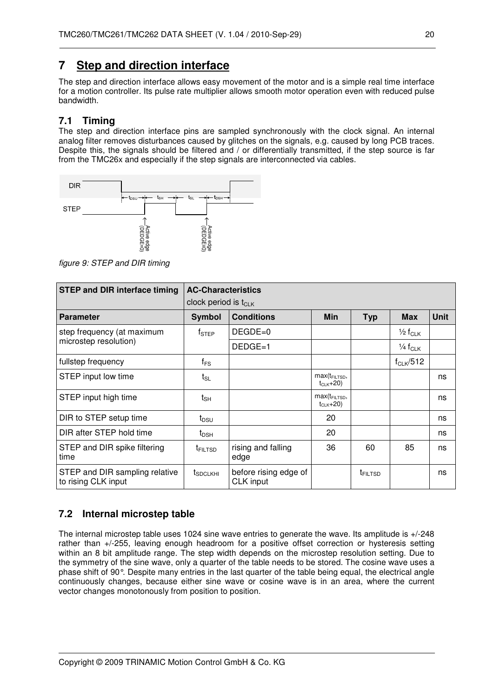## **7 Step and direction interface**

The step and direction interface allows easy movement of the motor and is a simple real time interface for a motion controller. Its pulse rate multiplier allows smooth motor operation even with reduced pulse bandwidth.

## **7.1 Timing**

The step and direction interface pins are sampled synchronously with the clock signal. An internal analog filter removes disturbances caused by glitches on the signals, e.g. caused by long PCB traces. Despite this, the signals should be filtered and / or differentially transmitted, if the step source is far from the TMC26x and especially if the step signals are interconnected via cables.



figure 9: STEP and DIR timing

| <b>STEP and DIR interface timing</b>                  | <b>AC-Characteristics</b>        |                                    |                                     |                     |                                |             |
|-------------------------------------------------------|----------------------------------|------------------------------------|-------------------------------------|---------------------|--------------------------------|-------------|
|                                                       | clock period is t <sub>CLK</sub> |                                    |                                     |                     |                                |             |
| <b>Parameter</b>                                      | <b>Symbol</b>                    | <b>Conditions</b>                  | <b>Min</b>                          | <b>Typ</b>          | <b>Max</b>                     | <b>Unit</b> |
| step frequency (at maximum                            | $f_{\sf STEP}$                   | $DEGDE=0$                          |                                     |                     | $\frac{1}{2}$ f <sub>CLK</sub> |             |
| microstep resolution)                                 |                                  | $DEDGE=1$                          |                                     |                     | $\frac{1}{4}f_{CLK}$           |             |
| fullstep frequency                                    | $f_{\mathsf{FS}}$                |                                    |                                     |                     | $f_{CLK}/512$                  |             |
| STEP input low time                                   | t <sub>SL</sub>                  |                                    | $max(t_{FILTSD},$<br>$t_{CLK}$ +20) |                     |                                | ns          |
| STEP input high time                                  | $\mathsf{t}_{\mathsf{SH}}$       |                                    | $max(t_{FILTSD},$<br>$t_{CLK}$ +20) |                     |                                | ns          |
| DIR to STEP setup time                                | t <sub>DSU</sub>                 |                                    | 20                                  |                     |                                | ns          |
| DIR after STEP hold time                              | $t_{\sf DSH}$                    |                                    | 20                                  |                     |                                | ns          |
| STEP and DIR spike filtering<br>time                  | <b>TFILTSD</b>                   | rising and falling<br>edge         | 36                                  | 60                  | 85                             | ns          |
| STEP and DIR sampling relative<br>to rising CLK input | t <sub>SDCLKHI</sub>             | before rising edge of<br>CLK input |                                     | t <sub>FILTSD</sub> |                                | ns          |

## **7.2 Internal microstep table**

The internal microstep table uses 1024 sine wave entries to generate the wave. Its amplitude is +/-248 rather than +/-255, leaving enough headroom for a positive offset correction or hysteresis setting within an 8 bit amplitude range. The step width depends on the microstep resolution setting. Due to the symmetry of the sine wave, only a quarter of the table needs to be stored. The cosine wave uses a phase shift of 90°. Despite many entries in the last quarter of the table being equal, the electrical angle continuously changes, because either sine wave or cosine wave is in an area, where the current vector changes monotonously from position to position.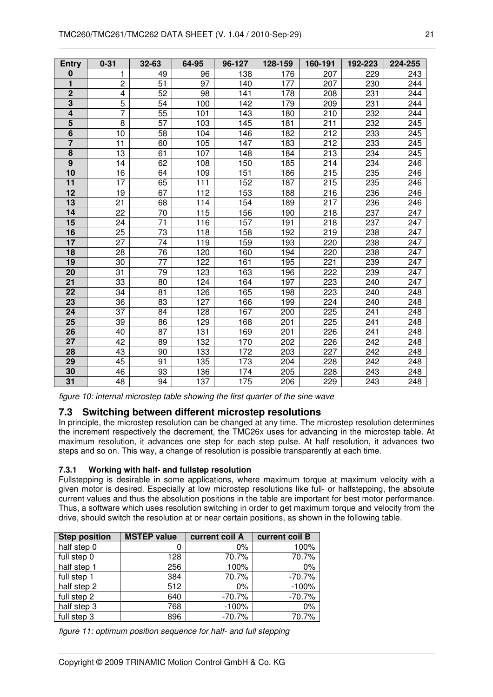| <b>Entry</b>    | $0 - 31$        | $32 - 63$       | 64-95 | 96-127 | 128-159 | 160-191 | 192-223 | 224-255 |
|-----------------|-----------------|-----------------|-------|--------|---------|---------|---------|---------|
| $\bf{0}$        | 1               | 49              | 96    | 138    | 176     | 207     | 229     | 243     |
| 1               | $\overline{c}$  | $\overline{51}$ | 97    | 140    | 177     | 207     | 230     | 244     |
| $\overline{2}$  | 4               | $\overline{52}$ | 98    | 141    | 178     | 208     | 231     | 244     |
| $\overline{3}$  | 5               | 54              | 100   | 142    | 179     | 209     | 231     | 244     |
| 4               | 7               | $\overline{55}$ | 101   | 143    | 180     | 210     | 232     | 244     |
| 5               | 8               | $\overline{57}$ | 103   | 145    | 181     | 211     | 232     | 245     |
| $\overline{6}$  | 10              | $\overline{58}$ | 104   | 146    | 182     | 212     | 233     | 245     |
| $\overline{7}$  | 11              | 60              | 105   | 147    | 183     | 212     | 233     | 245     |
| 8               | 13              | 61              | 107   | 148    | 184     | 213     | 234     | 245     |
| $\overline{9}$  | 14              | 62              | 108   | 150    | 185     | 214     | 234     | 246     |
| 10              | 16              | 64              | 109   | 151    | 186     | 215     | 235     | 246     |
| $\overline{11}$ | 17              | 65              | 111   | 152    | 187     | 215     | 235     | 246     |
| $\overline{12}$ | 19              | 67              | 112   | 153    | 188     | 216     | 236     | 246     |
| 13              | 21              | 68              | 114   | 154    | 189     | 217     | 236     | 246     |
| 14              | 22              | 70              | 115   | 156    | 190     | 218     | 237     | 247     |
| 15              | 24              | 71              | 116   | 157    | 191     | 218     | 237     | 247     |
| 16              | 25              | $\overline{73}$ | 118   | 158    | 192     | 219     | 238     | 247     |
| 17              | 27              | $\overline{74}$ | 119   | 159    | 193     | 220     | 238     | 247     |
| 18              | 28              | 76              | 120   | 160    | 194     | 220     | 238     | 247     |
| 19              | 30              | 77              | 122   | 161    | 195     | 221     | 239     | 247     |
| 20              | $\overline{31}$ | $\overline{79}$ | 123   | 163    | 196     | 222     | 239     | 247     |
| 21              | 33              | 80              | 124   | 164    | 197     | 223     | 240     | 247     |
| 22              | 34              | 81              | 126   | 165    | 198     | 223     | 240     | 248     |
| 23              | 36              | 83              | 127   | 166    | 199     | 224     | 240     | 248     |
| 24              | $\overline{37}$ | 84              | 128   | 167    | 200     | 225     | 241     | 248     |
| 25              | 39              | 86              | 129   | 168    | 201     | 225     | 241     | 248     |
| 26              | 40              | 87              | 131   | 169    | 201     | 226     | 241     | 248     |
| 27              | 42              | 89              | 132   | 170    | 202     | 226     | 242     | 248     |
| 28              | 43              | 90              | 133   | 172    | 203     | 227     | 242     | 248     |
| 29              | 45              | 91              | 135   | 173    | 204     | 228     | 242     | 248     |
| 30              | 46              | 93              | 136   | 174    | 205     | 228     | 243     | 248     |
| 31              | 48              | 94              | 137   | 175    | 206     | 229     | 243     | 248     |

figure 10: internal microstep table showing the first quarter of the sine wave

## **7.3 Switching between different microstep resolutions**

In principle, the microstep resolution can be changed at any time. The microstep resolution determines the increment respectively the decrement, the TMC26x uses for advancing in the microstep table. At maximum resolution, it advances one step for each step pulse. At half resolution, it advances two steps and so on. This way, a change of resolution is possible transparently at each time.

#### **7.3.1 Working with half- and fullstep resolution**

Fullstepping is desirable in some applications, where maximum torque at maximum velocity with a given motor is desired. Especially at low microstep resolutions like full- or halfstepping, the absolute current values and thus the absolution positions in the table are important for best motor performance. Thus, a software which uses resolution switching in order to get maximum torque and velocity from the drive, should switch the resolution at or near certain positions, as shown in the following table.

| <b>Step position</b> | <b>MSTEP value</b> | current coil A | current coil B |
|----------------------|--------------------|----------------|----------------|
| half step 0          |                    | $0\%$          | 100%           |
| full step 0          | 128                | 70.7%          | 70.7%          |
| half step 1          | 256                | 100%           | 0%             |
| full step 1          | 384                | 70.7%          | $-70.7%$       |
| half step 2          | 512                | $0\%$          | $-100%$        |
| full step 2          | 640                | $-70.7%$       | $-70.7%$       |
| half step 3          | 768                | $-100%$        | 0%             |
| full step 3          | 896                | $-70.7%$       | 70.7%          |

figure 11: optimum position sequence for half- and full stepping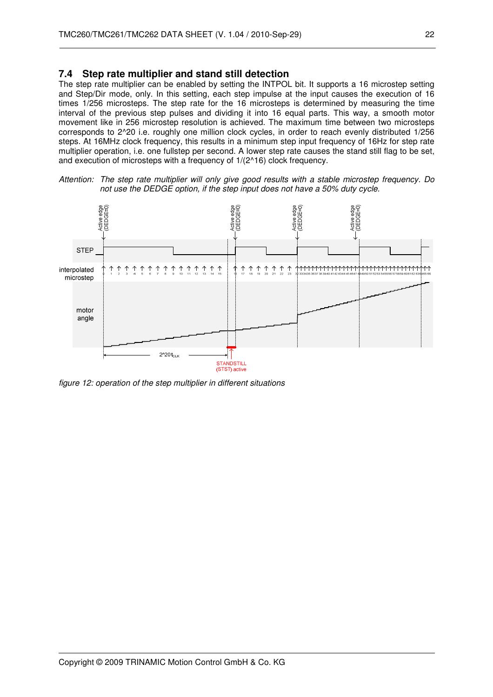#### **7.4 Step rate multiplier and stand still detection**

The step rate multiplier can be enabled by setting the INTPOL bit. It supports a 16 microstep setting and Step/Dir mode, only. In this setting, each step impulse at the input causes the execution of 16 times 1/256 microsteps. The step rate for the 16 microsteps is determined by measuring the time interval of the previous step pulses and dividing it into 16 equal parts. This way, a smooth motor movement like in 256 microstep resolution is achieved. The maximum time between two microsteps corresponds to 2^20 i.e. roughly one million clock cycles, in order to reach evenly distributed 1/256 steps. At 16MHz clock frequency, this results in a minimum step input frequency of 16Hz for step rate multiplier operation, i.e. one fullstep per second. A lower step rate causes the stand still flag to be set, and execution of microsteps with a frequency of 1/(2^16) clock frequency.





figure 12: operation of the step multiplier in different situations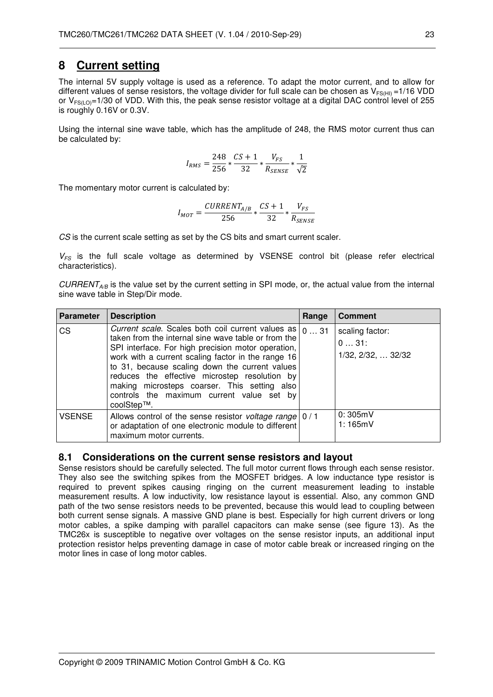## **8 Current setting**

The internal 5V supply voltage is used as a reference. To adapt the motor current, and to allow for different values of sense resistors, the voltage divider for full scale can be chosen as  $V_{FS(HI)} = 1/16$  VDD or  $V_{FS(LO)}=1/30$  of VDD. With this, the peak sense resistor voltage at a digital DAC control level of 255 is roughly 0.16V or 0.3V.

Using the internal sine wave table, which has the amplitude of 248, the RMS motor current thus can be calculated by:

$$
I_{RMS} = \frac{248}{256} * \frac{CS + 1}{32} * \frac{V_{FS}}{R_{SENSE}} * \frac{1}{\sqrt{2}}
$$

The momentary motor current is calculated by:

$$
I_{MOT} = \frac{CURRENT_{A/B}}{256} * \frac{CS + 1}{32} * \frac{V_{FS}}{R_{SENSE}}
$$

CS is the current scale setting as set by the CS bits and smart current scaler.

 $V_{FS}$  is the full scale voltage as determined by VSENSE control bit (please refer electrical characteristics).

 $\textit{CURRENT}_{AB}$  is the value set by the current setting in SPI mode, or, the actual value from the internal sine wave table in Step/Dir mode.

| <b>Parameter</b> | <b>Description</b>                                                                                                                                                                                                                                                                                                                                                                                                                 | Range | <b>Comment</b>                                |
|------------------|------------------------------------------------------------------------------------------------------------------------------------------------------------------------------------------------------------------------------------------------------------------------------------------------------------------------------------------------------------------------------------------------------------------------------------|-------|-----------------------------------------------|
| CS               | Current scale. Scales both coil current values as<br>taken from the internal sine wave table or from the<br>SPI interface. For high precision motor operation,<br>work with a current scaling factor in the range 16<br>to 31, because scaling down the current values<br>reduces the effective microstep resolution by<br>making microsteps coarser. This setting also<br>controls the maximum current value set by<br>coolStep™. | 031   | scaling factor:<br>031:<br>1/32, 2/32,  32/32 |
| <b>VSENSE</b>    | Allows control of the sense resistor <i>voltage range</i> $\vert 0/1$<br>or adaptation of one electronic module to different<br>maximum motor currents.                                                                                                                                                                                                                                                                            |       | 0:305mV<br>1:165mV                            |

#### **8.1 Considerations on the current sense resistors and layout**

Sense resistors should be carefully selected. The full motor current flows through each sense resistor. They also see the switching spikes from the MOSFET bridges. A low inductance type resistor is required to prevent spikes causing ringing on the current measurement leading to instable measurement results. A low inductivity, low resistance layout is essential. Also, any common GND path of the two sense resistors needs to be prevented, because this would lead to coupling between both current sense signals. A massive GND plane is best. Especially for high current drivers or long motor cables, a spike damping with parallel capacitors can make sense (see figure 13). As the TMC26x is susceptible to negative over voltages on the sense resistor inputs, an additional input protection resistor helps preventing damage in case of motor cable break or increased ringing on the motor lines in case of long motor cables.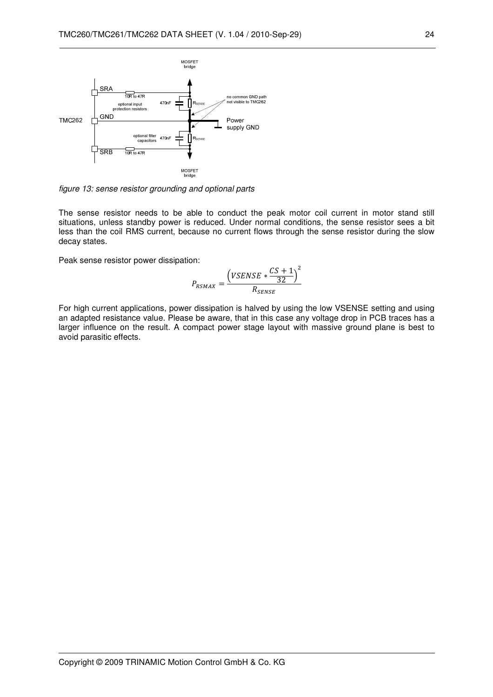

figure 13: sense resistor grounding and optional parts

The sense resistor needs to be able to conduct the peak motor coil current in motor stand still situations, unless standby power is reduced. Under normal conditions, the sense resistor sees a bit less than the coil RMS current, because no current flows through the sense resistor during the slow decay states.

Peak sense resistor power dissipation:

$$
P_{RSMAX} = \frac{\left(VSENSE * \frac{CS + 1}{32}\right)^2}{R_{SENSE}}
$$

For high current applications, power dissipation is halved by using the low VSENSE setting and using an adapted resistance value. Please be aware, that in this case any voltage drop in PCB traces has a larger influence on the result. A compact power stage layout with massive ground plane is best to avoid parasitic effects.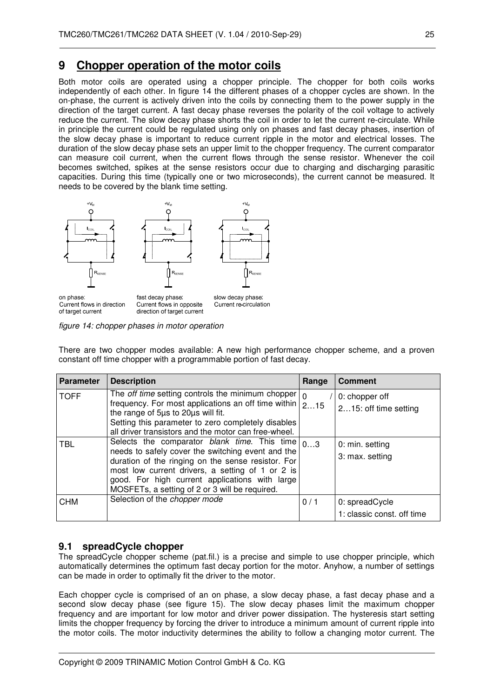## **9 Chopper operation of the motor coils**

Both motor coils are operated using a chopper principle. The chopper for both coils works independently of each other. In figure 14 the different phases of a chopper cycles are shown. In the on-phase, the current is actively driven into the coils by connecting them to the power supply in the direction of the target current. A fast decay phase reverses the polarity of the coil voltage to actively reduce the current. The slow decay phase shorts the coil in order to let the current re-circulate. While in principle the current could be regulated using only on phases and fast decay phases, insertion of the slow decay phase is important to reduce current ripple in the motor and electrical losses. The duration of the slow decay phase sets an upper limit to the chopper frequency. The current comparator can measure coil current, when the current flows through the sense resistor. Whenever the coil becomes switched, spikes at the sense resistors occur due to charging and discharging parasitic capacities. During this time (typically one or two microseconds), the current cannot be measured. It needs to be covered by the blank time setting.



figure 14: chopper phases in motor operation

There are two chopper modes available: A new high performance chopper scheme, and a proven constant off time chopper with a programmable portion of fast decay.

| <b>Parameter</b> | <b>Description</b>                                                                                                                                                                                                                                                                                                                   | Range     | <b>Comment</b>                               |
|------------------|--------------------------------------------------------------------------------------------------------------------------------------------------------------------------------------------------------------------------------------------------------------------------------------------------------------------------------------|-----------|----------------------------------------------|
| <b>TOFF</b>      | The <i>off time</i> setting controls the minimum chopper<br>frequency. For most applications an off time within<br>the range of 5µs to 20µs will fit.<br>Setting this parameter to zero completely disables<br>all driver transistors and the motor can free-wheel.                                                                  | ١o<br>215 | 0: chopper off<br>215: off time setting      |
| TBL              | Selects the comparator <i>blank time</i> . This time $\vert_{03}$<br>needs to safely cover the switching event and the<br>duration of the ringing on the sense resistor. For<br>most low current drivers, a setting of 1 or 2 is<br>good. For high current applications with large<br>MOSFETs, a setting of 2 or 3 will be required. |           | 0: min. setting<br>3: max. setting           |
| CHM              | Selection of the chopper mode                                                                                                                                                                                                                                                                                                        | 0/1       | 0: spreadCycle<br>1: classic const. off time |

## **9.1 spreadCycle chopper**

The spreadCycle chopper scheme (pat.fil.) is a precise and simple to use chopper principle, which automatically determines the optimum fast decay portion for the motor. Anyhow, a number of settings can be made in order to optimally fit the driver to the motor.

Each chopper cycle is comprised of an on phase, a slow decay phase, a fast decay phase and a second slow decay phase (see figure 15). The slow decay phases limit the maximum chopper frequency and are important for low motor and driver power dissipation. The hysteresis start setting limits the chopper frequency by forcing the driver to introduce a minimum amount of current ripple into the motor coils. The motor inductivity determines the ability to follow a changing motor current. The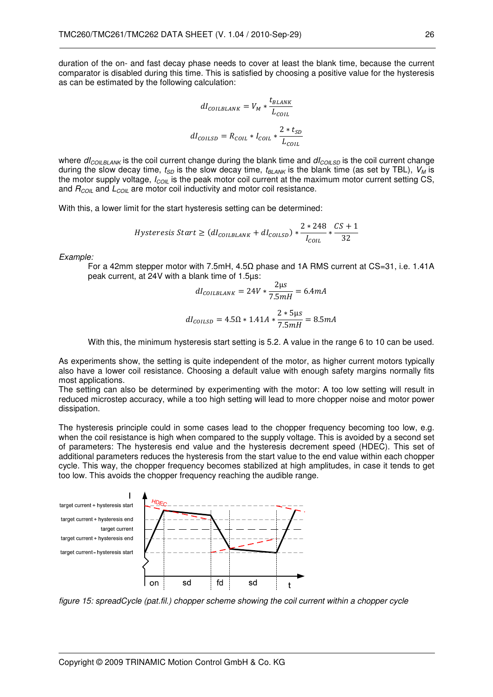duration of the on- and fast decay phase needs to cover at least the blank time, because the current comparator is disabled during this time. This is satisfied by choosing a positive value for the hysteresis as can be estimated by the following calculation:

$$
dI_{COLBLANK} = V_M * \frac{t_{BLANK}}{L_{COL}}
$$

$$
dI_{COLLSD} = R_{COLL} * I_{COLL} * \frac{2 * t_{SD}}{L_{COLL}}
$$

where  $dl_{COLBLANK}$  is the coil current change during the blank time and  $dl_{COLSD}$  is the coil current change during the slow decay time,  $t_{SD}$  is the slow decay time,  $t_{BLANK}$  is the blank time (as set by TBL),  $V_M$  is the motor supply voltage,  $I_{COII}$  is the peak motor coil current at the maximum motor current setting CS, and  $R_{COL}$  and  $L_{COL}$  are motor coil inductivity and motor coil resistance.

With this, a lower limit for the start hysteresis setting can be determined:

$$
Hysteresis Start \geq (dI_{COLBLANK} + dI_{COLSD}) * \frac{2 * 248}{I_{COL}} * \frac{CS + 1}{32}
$$

Example:

For a 42mm stepper motor with 7.5mH, 4.5Ω phase and 1A RMS current at CS=31, i.e. 1.41A peak current, at 24V with a blank time of 1.5µs:  $\sim$ 

$$
dl_{COLBLANK} = 24V * \frac{2\mu s}{7.5mH} = 6.4mA
$$

$$
dl_{COLSD} = 4.5\Omega * 1.41A * \frac{2 * 5\mu s}{7.5mH} = 8.5mA
$$

With this, the minimum hysteresis start setting is 5.2. A value in the range 6 to 10 can be used.

As experiments show, the setting is quite independent of the motor, as higher current motors typically also have a lower coil resistance. Choosing a default value with enough safety margins normally fits most applications.

The setting can also be determined by experimenting with the motor: A too low setting will result in reduced microstep accuracy, while a too high setting will lead to more chopper noise and motor power dissipation.

The hysteresis principle could in some cases lead to the chopper frequency becoming too low, e.g. when the coil resistance is high when compared to the supply voltage. This is avoided by a second set of parameters: The hysteresis end value and the hysteresis decrement speed (HDEC). This set of additional parameters reduces the hysteresis from the start value to the end value within each chopper cycle. This way, the chopper frequency becomes stabilized at high amplitudes, in case it tends to get too low. This avoids the chopper frequency reaching the audible range.



figure 15: spreadCycle (pat.fil.) chopper scheme showing the coil current within a chopper cycle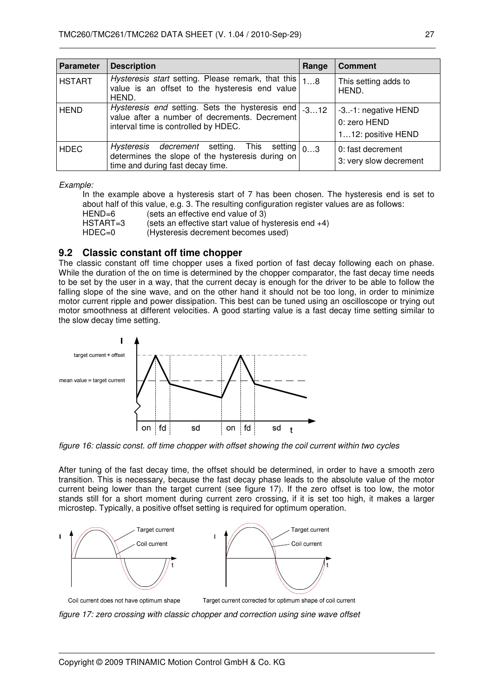| <b>Parameter</b> | <b>Description</b>                                                                                                                          | Range  | <b>Comment</b>                                            |
|------------------|---------------------------------------------------------------------------------------------------------------------------------------------|--------|-----------------------------------------------------------|
| <b>HSTART</b>    | Hysteresis start setting. Please remark, that this<br>value is an offset to the hysteresis end value<br>HEND.                               | 18     | This setting adds to<br>HEND.                             |
| <b>HEND</b>      | Hysteresis end setting. Sets the hysteresis end<br>value after a number of decrements. Decrement<br>interval time is controlled by HDEC.    | $-312$ | -3-1: negative HEND<br>0: zero HEND<br>112: positive HEND |
| <b>HDEC</b>      | Hysteresis decrement setting. This setting $ _{03}$<br>determines the slope of the hysteresis during on<br>time and during fast decay time. |        | 0: fast decrement<br>3: very slow decrement               |

Example:

In the example above a hysteresis start of 7 has been chosen. The hysteresis end is set to about half of this value, e.g. 3. The resulting configuration register values are as follows:

HEND=6 (sets an effective end value of 3)

 $HSTART=3$  (sets an effective start value of hysteresis end +4)<br> $HDEC=0$  (Hysteresis decrement becomes used) (Hysteresis decrement becomes used)

### **9.2 Classic constant off time chopper**

The classic constant off time chopper uses a fixed portion of fast decay following each on phase. While the duration of the on time is determined by the chopper comparator, the fast decay time needs to be set by the user in a way, that the current decay is enough for the driver to be able to follow the falling slope of the sine wave, and on the other hand it should not be too long, in order to minimize motor current ripple and power dissipation. This best can be tuned using an oscilloscope or trying out motor smoothness at different velocities. A good starting value is a fast decay time setting similar to the slow decay time setting.



figure 16: classic const. off time chopper with offset showing the coil current within two cycles

After tuning of the fast decay time, the offset should be determined, in order to have a smooth zero transition. This is necessary, because the fast decay phase leads to the absolute value of the motor current being lower than the target current (see figure 17). If the zero offset is too low, the motor stands still for a short moment during current zero crossing, if it is set too high, it makes a larger microstep. Typically, a positive offset setting is required for optimum operation.



figure 17: zero crossing with classic chopper and correction using sine wave offset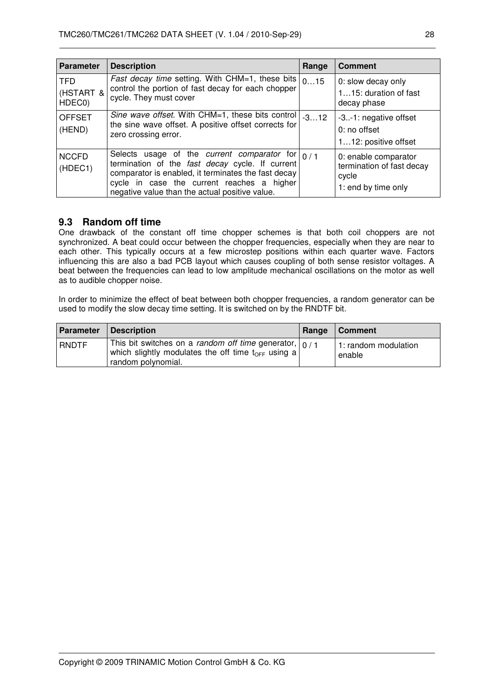| <b>Parameter</b>                  | <b>Description</b>                                                                                                                                                                                                                                           | Range  | <b>Comment</b>                                                                    |
|-----------------------------------|--------------------------------------------------------------------------------------------------------------------------------------------------------------------------------------------------------------------------------------------------------------|--------|-----------------------------------------------------------------------------------|
| <b>TFD</b><br>(HSTART &<br>HDEC0) | Fast decay time setting. With CHM=1, these bits<br>control the portion of fast decay for each chopper<br>cycle. They must cover                                                                                                                              | 015    | 0: slow decay only<br>115: duration of fast<br>decay phase                        |
| <b>OFFSET</b><br>(HEND)           | Sine wave offset. With CHM=1, these bits control<br>the sine wave offset. A positive offset corrects for<br>zero crossing error.                                                                                                                             | $-312$ | -3-1: negative offset<br>$0:$ no offset<br>112: positive offset                   |
| <b>NCCFD</b><br>(HDEC1)           | Selects usage of the current comparator for $ 0/1$<br>termination of the fast decay cycle. If current<br>comparator is enabled, it terminates the fast decay<br>cycle in case the current reaches a higher<br>negative value than the actual positive value. |        | 0: enable comparator<br>termination of fast decay<br>cycle<br>1: end by time only |

#### **9.3 Random off time**

One drawback of the constant off time chopper schemes is that both coil choppers are not synchronized. A beat could occur between the chopper frequencies, especially when they are near to each other. This typically occurs at a few microstep positions within each quarter wave. Factors influencing this are also a bad PCB layout which causes coupling of both sense resistor voltages. A beat between the frequencies can lead to low amplitude mechanical oscillations on the motor as well as to audible chopper noise.

In order to minimize the effect of beat between both chopper frequencies, a random generator can be used to modify the slow decay time setting. It is switched on by the RNDTF bit.

| Parameter    | Description                                                                                                                                             | Range | Comment                        |
|--------------|---------------------------------------------------------------------------------------------------------------------------------------------------------|-------|--------------------------------|
| <b>RNDTF</b> | This bit switches on a <i>random off time</i> generator, $ 0/1$<br>which slightly modulates the off time t <sub>OFF</sub> using a<br>random polynomial. |       | 1: random modulation<br>enable |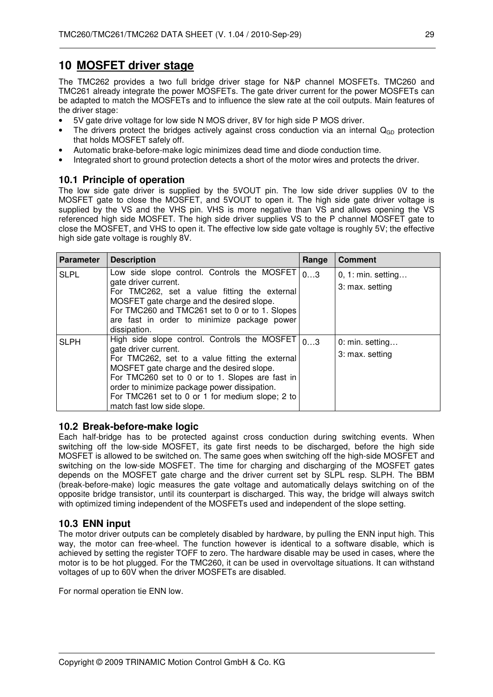## **10 MOSFET driver stage**

The TMC262 provides a two full bridge driver stage for N&P channel MOSFETs. TMC260 and TMC261 already integrate the power MOSFETs. The gate driver current for the power MOSFETs can be adapted to match the MOSFETs and to influence the slew rate at the coil outputs. Main features of the driver stage:

- 5V gate drive voltage for low side N MOS driver, 8V for high side P MOS driver.
- The drivers protect the bridges actively against cross conduction via an internal  $Q_{GD}$  protection that holds MOSFET safely off.
- Automatic brake-before-make logic minimizes dead time and diode conduction time.
- Integrated short to ground protection detects a short of the motor wires and protects the driver.

## **10.1 Principle of operation**

The low side gate driver is supplied by the 5VOUT pin. The low side driver supplies 0V to the MOSFET gate to close the MOSFET, and 5VOUT to open it. The high side gate driver voltage is supplied by the VS and the VHS pin. VHS is more negative than VS and allows opening the VS referenced high side MOSFET. The high side driver supplies VS to the P channel MOSFET gate to close the MOSFET, and VHS to open it. The effective low side gate voltage is roughly 5V; the effective high side gate voltage is roughly 8V.

| <b>Parameter</b> | <b>Description</b>                                                                                                                                                                                                                                                                                                                                       | Range | <b>Comment</b>                                 |
|------------------|----------------------------------------------------------------------------------------------------------------------------------------------------------------------------------------------------------------------------------------------------------------------------------------------------------------------------------------------------------|-------|------------------------------------------------|
| <b>SLPL</b>      | Low side slope control. Controls the MOSFET<br>gate driver current.<br>For TMC262, set a value fitting the external<br>MOSFET gate charge and the desired slope.<br>For TMC260 and TMC261 set to 0 or to 1. Slopes<br>are fast in order to minimize package power<br>dissipation.                                                                        | 03    | $0, 1: \text{min. setting}$<br>3: max. setting |
| <b>SLPH</b>      | High side slope control. Controls the MOSFET<br>gate driver current.<br>For TMC262, set to a value fitting the external<br>MOSFET gate charge and the desired slope.<br>For TMC260 set to 0 or to 1. Slopes are fast in<br>order to minimize package power dissipation.<br>For TMC261 set to 0 or 1 for medium slope; 2 to<br>match fast low side slope. | 03    | 0: min. setting<br>3: max. setting             |

#### **10.2 Break-before-make logic**

Each half-bridge has to be protected against cross conduction during switching events. When switching off the low-side MOSFET, its gate first needs to be discharged, before the high side MOSFET is allowed to be switched on. The same goes when switching off the high-side MOSFET and switching on the low-side MOSFET. The time for charging and discharging of the MOSFET gates depends on the MOSFET gate charge and the driver current set by SLPL resp. SLPH. The BBM (break-before-make) logic measures the gate voltage and automatically delays switching on of the opposite bridge transistor, until its counterpart is discharged. This way, the bridge will always switch with optimized timing independent of the MOSFETs used and independent of the slope setting.

#### **10.3 ENN input**

The motor driver outputs can be completely disabled by hardware, by pulling the ENN input high. This way, the motor can free-wheel. The function however is identical to a software disable, which is achieved by setting the register TOFF to zero. The hardware disable may be used in cases, where the motor is to be hot plugged. For the TMC260, it can be used in overvoltage situations. It can withstand voltages of up to 60V when the driver MOSFETs are disabled.

For normal operation tie ENN low.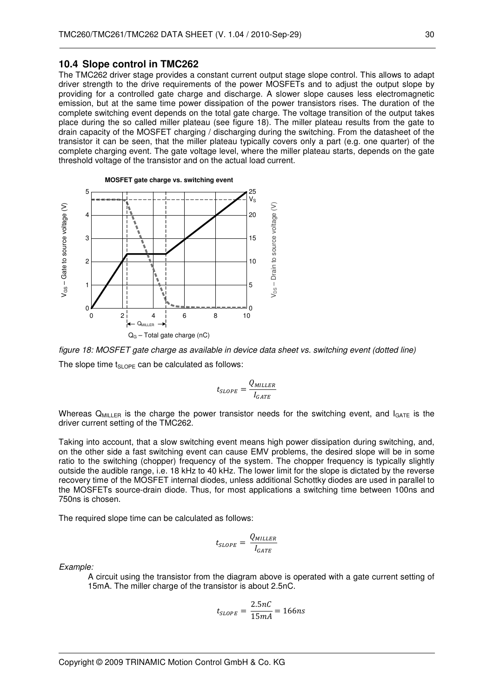#### **10.4 Slope control in TMC262**

The TMC262 driver stage provides a constant current output stage slope control. This allows to adapt driver strength to the drive requirements of the power MOSFETs and to adjust the output slope by providing for a controlled gate charge and discharge. A slower slope causes less electromagnetic emission, but at the same time power dissipation of the power transistors rises. The duration of the complete switching event depends on the total gate charge. The voltage transition of the output takes place during the so called miller plateau (see figure 18). The miller plateau results from the gate to drain capacity of the MOSFET charging / discharging during the switching. From the datasheet of the transistor it can be seen, that the miller plateau typically covers only a part (e.g. one quarter) of the complete charging event. The gate voltage level, where the miller plateau starts, depends on the gate threshold voltage of the transistor and on the actual load current.





$$
t_{SLOPE} = \frac{Q_{MILLER}}{I_{GATE}}
$$

Whereas  $Q_{MILLER}$  is the charge the power transistor needs for the switching event, and  $I_{GATE}$  is the driver current setting of the TMC262.

Taking into account, that a slow switching event means high power dissipation during switching, and, on the other side a fast switching event can cause EMV problems, the desired slope will be in some ratio to the switching (chopper) frequency of the system. The chopper frequency is typically slightly outside the audible range, i.e. 18 kHz to 40 kHz. The lower limit for the slope is dictated by the reverse recovery time of the MOSFET internal diodes, unless additional Schottky diodes are used in parallel to the MOSFETs source-drain diode. Thus, for most applications a switching time between 100ns and 750ns is chosen.

The required slope time can be calculated as follows:

$$
t_{SLOPE} = \frac{Q_{MILLER}}{I_{GATE}}
$$

Example:

A circuit using the transistor from the diagram above is operated with a gate current setting of 15mA. The miller charge of the transistor is about 2.5nC.

$$
t_{SLOPE} = \frac{2.5nC}{15mA} = 166ns
$$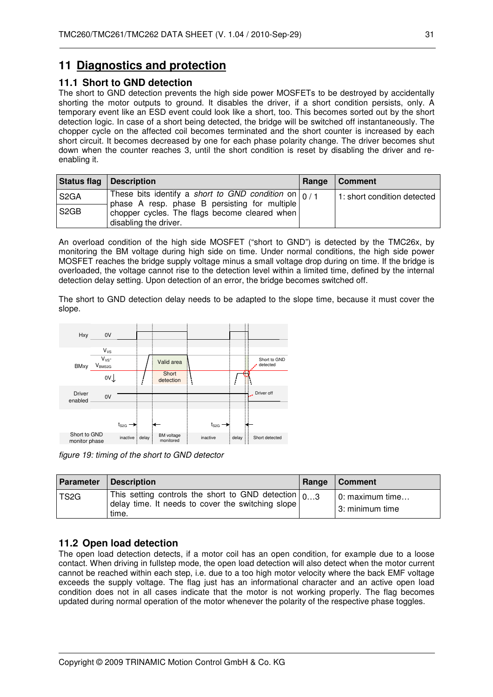## **11 Diagnostics and protection**

#### **11.1 Short to GND detection**

The short to GND detection prevents the high side power MOSFETs to be destroyed by accidentally shorting the motor outputs to ground. It disables the driver, if a short condition persists, only. A temporary event like an ESD event could look like a short, too. This becomes sorted out by the short detection logic. In case of a short being detected, the bridge will be switched off instantaneously. The chopper cycle on the affected coil becomes terminated and the short counter is increased by each short circuit. It becomes decreased by one for each phase polarity change. The driver becomes shut down when the counter reaches 3, until the short condition is reset by disabling the driver and reenabling it.

| <b>Status flag</b> | Description                                                                                                    | Range | Comment                     |
|--------------------|----------------------------------------------------------------------------------------------------------------|-------|-----------------------------|
| S <sub>2</sub> GA  | These bits identify a short to GND condition on $\vert_{0/1}$<br>phase A resp. phase B persisting for multiple |       | 1: short condition detected |
| S <sub>2</sub> GB  | chopper cycles. The flags become cleared when<br>disabling the driver.                                         |       |                             |

An overload condition of the high side MOSFET ("short to GND") is detected by the TMC26x, by monitoring the BM voltage during high side on time. Under normal conditions, the high side power MOSFET reaches the bridge supply voltage minus a small voltage drop during on time. If the bridge is overloaded, the voltage cannot rise to the detection level within a limited time, defined by the internal detection delay setting. Upon detection of an error, the bridge becomes switched off.

The short to GND detection delay needs to be adapted to the slope time, because it must cover the slope.



figure 19: timing of the short to GND detector

| <b>Parameter</b>  | Description                                                                                                                            | Range | Comment                            |
|-------------------|----------------------------------------------------------------------------------------------------------------------------------------|-------|------------------------------------|
| TS <sub>2</sub> G | $\sqrt{1}$ This setting controls the short to GND detection $\vert_{03}$<br>delay time. It needs to cover the switching slope<br>time. |       | 0: maximum time<br>3: minimum time |

## **11.2 Open load detection**

The open load detection detects, if a motor coil has an open condition, for example due to a loose contact. When driving in fullstep mode, the open load detection will also detect when the motor current cannot be reached within each step, i.e. due to a too high motor velocity where the back EMF voltage exceeds the supply voltage. The flag just has an informational character and an active open load condition does not in all cases indicate that the motor is not working properly. The flag becomes updated during normal operation of the motor whenever the polarity of the respective phase toggles.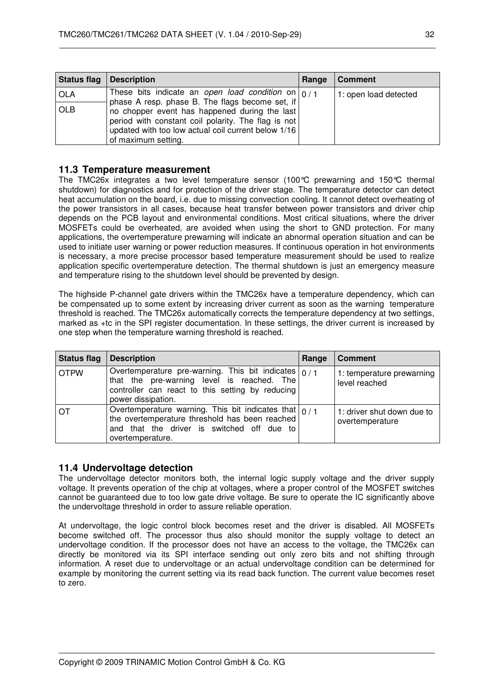| <b>Status flag   Description</b> |                                                                                                                                                                                    | Range | <b>Comment</b>        |
|----------------------------------|------------------------------------------------------------------------------------------------------------------------------------------------------------------------------------|-------|-----------------------|
| <b>OLA</b>                       | These bits indicate an open load condition on $\vert_{0/1}$<br>phase A resp. phase B. The flags become set, if                                                                     |       | 1: open load detected |
| <b>OLB</b>                       | no chopper event has happened during the last<br>period with constant coil polarity. The flag is not<br>updated with too low actual coil current below 1/16<br>of maximum setting. |       |                       |

#### **11.3 Temperature measurement**

The TMC26x integrates a two level temperature sensor (100°C prewarning and 150°C thermal shutdown) for diagnostics and for protection of the driver stage. The temperature detector can detect heat accumulation on the board, i.e. due to missing convection cooling. It cannot detect overheating of the power transistors in all cases, because heat transfer between power transistors and driver chip depends on the PCB layout and environmental conditions. Most critical situations, where the driver MOSFETs could be overheated, are avoided when using the short to GND protection. For many applications, the overtemperature prewarning will indicate an abnormal operation situation and can be used to initiate user warning or power reduction measures. If continuous operation in hot environments is necessary, a more precise processor based temperature measurement should be used to realize application specific overtemperature detection. The thermal shutdown is just an emergency measure and temperature rising to the shutdown level should be prevented by design.

The highside P-channel gate drivers within the TMC26x have a temperature dependency, which can be compensated up to some extent by increasing driver current as soon as the warning temperature threshold is reached. The TMC26x automatically corrects the temperature dependency at two settings, marked as +tc in the SPI register documentation. In these settings, the driver current is increased by one step when the temperature warning threshold is reached.

| <b>Status flag</b> | <b>Description</b>                                                                                                                                                                        | Range | <b>Comment</b>                                |
|--------------------|-------------------------------------------------------------------------------------------------------------------------------------------------------------------------------------------|-------|-----------------------------------------------|
| <b>OTPW</b>        | Overtemperature pre-warning. This bit indicates $\frac{1}{0}$ / 1<br>that the pre-warning level is reached. The<br>controller can react to this setting by reducing<br>power dissipation. |       | 1: temperature prewarning<br>level reached    |
| ΩT                 | Overtemperature warning. This bit indicates that $\vert_{0/1}$<br>the overtemperature threshold has been reached<br>and that the driver is switched off due to<br>overtemperature.        |       | 1: driver shut down due to<br>overtemperature |

## **11.4 Undervoltage detection**

The undervoltage detector monitors both, the internal logic supply voltage and the driver supply voltage. It prevents operation of the chip at voltages, where a proper control of the MOSFET switches cannot be guaranteed due to too low gate drive voltage. Be sure to operate the IC significantly above the undervoltage threshold in order to assure reliable operation.

At undervoltage, the logic control block becomes reset and the driver is disabled. All MOSFETs become switched off. The processor thus also should monitor the supply voltage to detect an undervoltage condition. If the processor does not have an access to the voltage, the TMC26x can directly be monitored via its SPI interface sending out only zero bits and not shifting through information. A reset due to undervoltage or an actual undervoltage condition can be determined for example by monitoring the current setting via its read back function. The current value becomes reset to zero.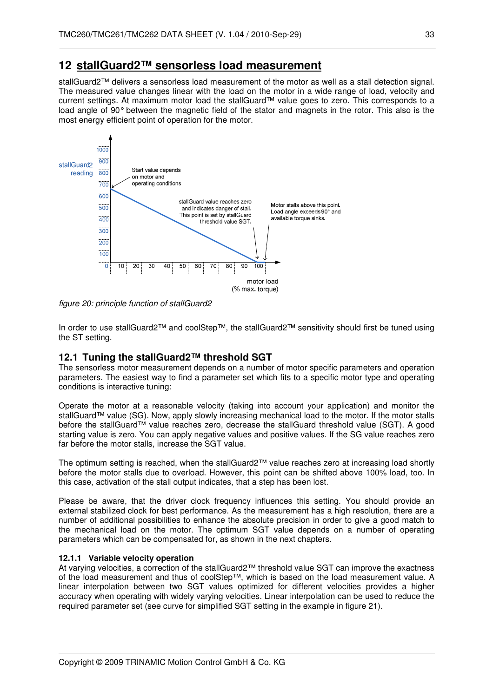## **12 stallGuard2™ sensorless load measurement**

stallGuard2™ delivers a sensorless load measurement of the motor as well as a stall detection signal. The measured value changes linear with the load on the motor in a wide range of load, velocity and current settings. At maximum motor load the stallGuard™ value goes to zero. This corresponds to a load angle of 90° between the magnetic field of the stator and magnets in the rotor. This also is the most energy efficient point of operation for the motor.



figure 20: principle function of stallGuard2

In order to use stallGuard2™ and coolStep™, the stallGuard2™ sensitivity should first be tuned using the ST setting.

## **12.1 Tuning the stallGuard2™ threshold SGT**

The sensorless motor measurement depends on a number of motor specific parameters and operation parameters. The easiest way to find a parameter set which fits to a specific motor type and operating conditions is interactive tuning:

Operate the motor at a reasonable velocity (taking into account your application) and monitor the stallGuard™ value (SG). Now, apply slowly increasing mechanical load to the motor. If the motor stalls before the stallGuard™ value reaches zero, decrease the stallGuard threshold value (SGT). A good starting value is zero. You can apply negative values and positive values. If the SG value reaches zero far before the motor stalls, increase the SGT value.

The optimum setting is reached, when the stallGuard2™ value reaches zero at increasing load shortly before the motor stalls due to overload. However, this point can be shifted above 100% load, too. In this case, activation of the stall output indicates, that a step has been lost.

Please be aware, that the driver clock frequency influences this setting. You should provide an external stabilized clock for best performance. As the measurement has a high resolution, there are a number of additional possibilities to enhance the absolute precision in order to give a good match to the mechanical load on the motor. The optimum SGT value depends on a number of operating parameters which can be compensated for, as shown in the next chapters.

#### **12.1.1 Variable velocity operation**

At varying velocities, a correction of the stallGuard2™ threshold value SGT can improve the exactness of the load measurement and thus of coolStep™, which is based on the load measurement value. A linear interpolation between two SGT values optimized for different velocities provides a higher accuracy when operating with widely varying velocities. Linear interpolation can be used to reduce the required parameter set (see curve for simplified SGT setting in the example in figure 21).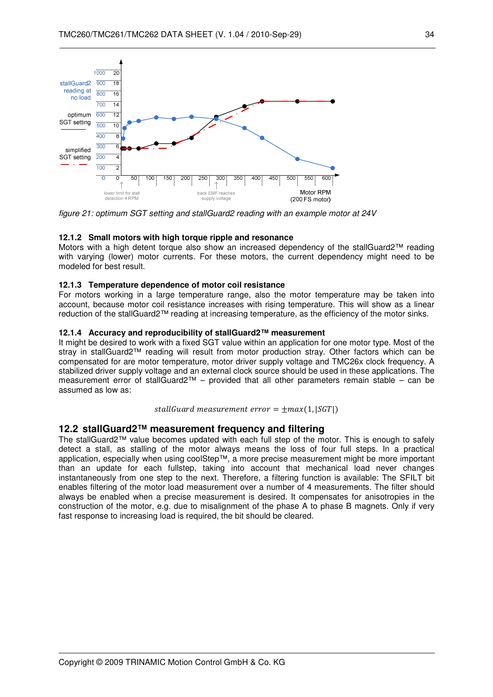

figure 21: optimum SGT setting and stallGuard2 reading with an example motor at 24V

#### **12.1.2 Small motors with high torque ripple and resonance**

Motors with a high detent torque also show an increased dependency of the stallGuard2™ reading with varying (lower) motor currents. For these motors, the current dependency might need to be modeled for best result.

#### **12.1.3 Temperature dependence of motor coil resistance**

For motors working in a large temperature range, also the motor temperature may be taken into account, because motor coil resistance increases with rising temperature. This will show as a linear reduction of the stallGuard2™ reading at increasing temperature, as the efficiency of the motor sinks.

#### **12.1.4 Accuracy and reproducibility of stallGuard2™ measurement**

It might be desired to work with a fixed SGT value within an application for one motor type. Most of the stray in stallGuard2™ reading will result from motor production stray. Other factors which can be compensated for are motor temperature, motor driver supply voltage and TMC26x clock frequency. A stabilized driver supply voltage and an external clock source should be used in these applications. The measurement error of stallGuard2™ – provided that all other parameters remain stable – can be assumed as low as:

stallGuard measurement error =  $\pm max(1, |SGT|)$ 

#### **12.2 stallGuard2™ measurement frequency and filtering**

The stallGuard2™ value becomes updated with each full step of the motor. This is enough to safely detect a stall, as stalling of the motor always means the loss of four full steps. In a practical application, especially when using coolStep™, a more precise measurement might be more important than an update for each fullstep, taking into account that mechanical load never changes instantaneously from one step to the next. Therefore, a filtering function is available: The SFILT bit enables filtering of the motor load measurement over a number of 4 measurements. The filter should always be enabled when a precise measurement is desired. It compensates for anisotropies in the construction of the motor, e.g. due to misalignment of the phase A to phase B magnets. Only if very fast response to increasing load is required, the bit should be cleared.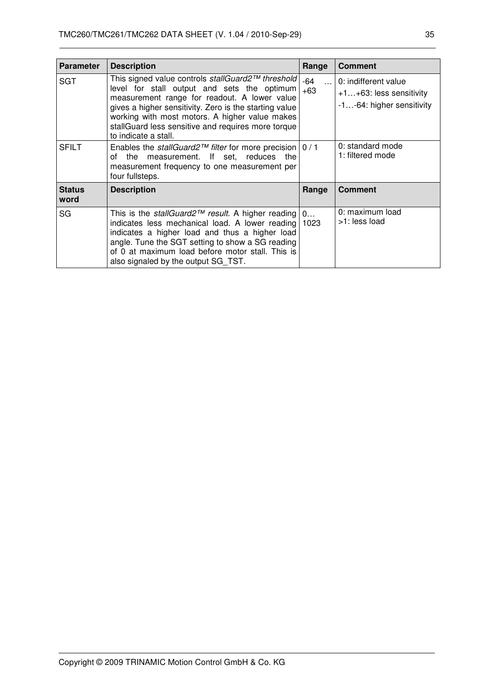| <b>Parameter</b>      | <b>Description</b>                                                                                                                                                                                                                                                                                                                         | Range                     | <b>Comment</b>                                                                  |
|-----------------------|--------------------------------------------------------------------------------------------------------------------------------------------------------------------------------------------------------------------------------------------------------------------------------------------------------------------------------------------|---------------------------|---------------------------------------------------------------------------------|
| SGT                   | This signed value controls stallGuard2™ threshold<br>level for stall output and sets the optimum<br>measurement range for readout. A lower value<br>gives a higher sensitivity. Zero is the starting value<br>working with most motors. A higher value makes<br>stallGuard less sensitive and requires more torque<br>to indicate a stall. | -64<br>$\ddotsc$<br>$+63$ | 0: indifferent value<br>$+1+63$ : less sensitivity<br>-1-64: higher sensitivity |
| <b>SFILT</b>          | Enables the stall Guard $2^{TM}$ filter for more precision   0 / 1<br>measurement. If set, reduces<br>the<br>the<br>Ωf<br>measurement frequency to one measurement per<br>four fullsteps.                                                                                                                                                  |                           | 0: standard mode<br>1: filtered mode                                            |
| <b>Status</b><br>word | <b>Description</b>                                                                                                                                                                                                                                                                                                                         | Range                     | <b>Comment</b>                                                                  |
| SG                    | This is the <i>stallGuard</i> $2^{\pi}$ result. A higher reading $\vert 0$<br>indicates less mechanical load. A lower reading<br>indicates a higher load and thus a higher load<br>angle. Tune the SGT setting to show a SG reading<br>of 0 at maximum load before motor stall. This is<br>also signaled by the output SG TST.             | 1023                      | 0: maximum load<br>>1: less load                                                |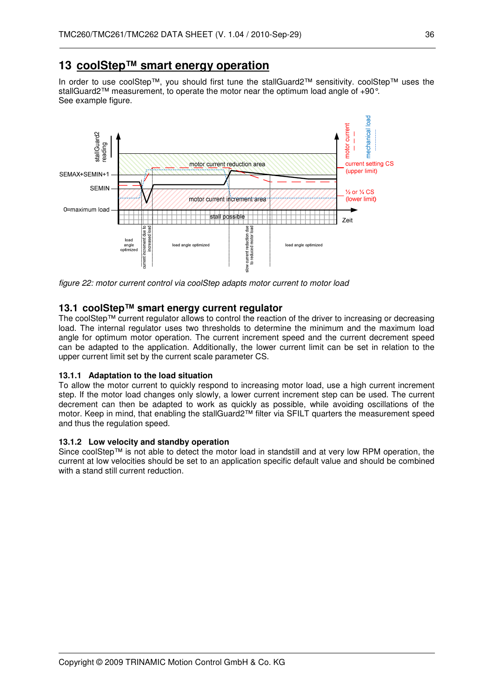## **13 coolStep™ smart energy operation**

In order to use coolStep™, you should first tune the stallGuard2™ sensitivity. coolStep™ uses the stallGuard2™ measurement, to operate the motor near the optimum load angle of +90°. See example figure.



figure 22: motor current control via coolStep adapts motor current to motor load

#### **13.1 coolStep™ smart energy current regulator**

The coolStep™ current regulator allows to control the reaction of the driver to increasing or decreasing load. The internal regulator uses two thresholds to determine the minimum and the maximum load angle for optimum motor operation. The current increment speed and the current decrement speed can be adapted to the application. Additionally, the lower current limit can be set in relation to the upper current limit set by the current scale parameter CS.

#### **13.1.1 Adaptation to the load situation**

To allow the motor current to quickly respond to increasing motor load, use a high current increment step. If the motor load changes only slowly, a lower current increment step can be used. The current decrement can then be adapted to work as quickly as possible, while avoiding oscillations of the motor. Keep in mind, that enabling the stallGuard2™ filter via SFILT quarters the measurement speed and thus the regulation speed.

#### **13.1.2 Low velocity and standby operation**

Since coolStep™ is not able to detect the motor load in standstill and at very low RPM operation, the current at low velocities should be set to an application specific default value and should be combined with a stand still current reduction.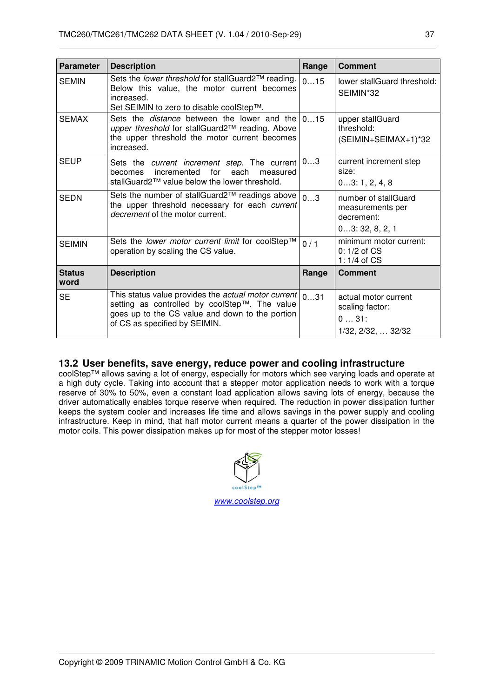| <b>Parameter</b>      | <b>Description</b>                                                                                                                                                                       | Range | <b>Comment</b>                                                           |
|-----------------------|------------------------------------------------------------------------------------------------------------------------------------------------------------------------------------------|-------|--------------------------------------------------------------------------|
| <b>SEMIN</b>          | Sets the lower threshold for stallGuard2™ reading.<br>Below this value, the motor current becomes<br>increased.<br>Set SEIMIN to zero to disable coolStep™.                              | 015   | lower stallGuard threshold:<br>SEIMIN*32                                 |
| <b>SEMAX</b>          | Sets the <i>distance</i> between the lower and the 015<br>upper threshold for stallGuard2™ reading. Above<br>the upper threshold the motor current becomes<br>increased.                 |       | upper stallGuard<br>threshold:<br>(SEIMIN+SEIMAX+1)*32                   |
| SEUP                  | Sets the <i>current increment step</i> . The current $ 03 $<br>each<br>becomes incremented<br>for<br>measured<br>stallGuard2™ value below the lower threshold.                           |       | current increment step<br>size:<br>03:1, 2, 4, 8                         |
| <b>SEDN</b>           | Sets the number of stallGuard2™ readings above<br>the upper threshold necessary for each current<br><i>decrement</i> of the motor current.                                               | 03    | number of stallGuard<br>measurements per<br>decrement:<br>03:32, 8, 2, 1 |
| <b>SEIMIN</b>         | Sets the <i>lower motor current limit</i> for coolStep™<br>operation by scaling the CS value.                                                                                            | 0/1   | minimum motor current:<br>$0:1/2$ of $CS$<br>1: $1/4$ of $CS$            |
| <b>Status</b><br>word | <b>Description</b>                                                                                                                                                                       | Range | <b>Comment</b>                                                           |
| <b>SE</b>             | This status value provides the actual motor current<br>setting as controlled by coolStep™. The value<br>goes up to the CS value and down to the portion<br>of CS as specified by SEIMIN. | 031   | actual motor current<br>scaling factor:<br>031:<br>1/32, 2/32,  32/32    |

#### **13.2 User benefits, save energy, reduce power and cooling infrastructure**

coolStep™ allows saving a lot of energy, especially for motors which see varying loads and operate at a high duty cycle. Taking into account that a stepper motor application needs to work with a torque reserve of 30% to 50%, even a constant load application allows saving lots of energy, because the driver automatically enables torque reserve when required. The reduction in power dissipation further keeps the system cooler and increases life time and allows savings in the power supply and cooling infrastructure. Keep in mind, that half motor current means a quarter of the power dissipation in the motor coils. This power dissipation makes up for most of the stepper motor losses!

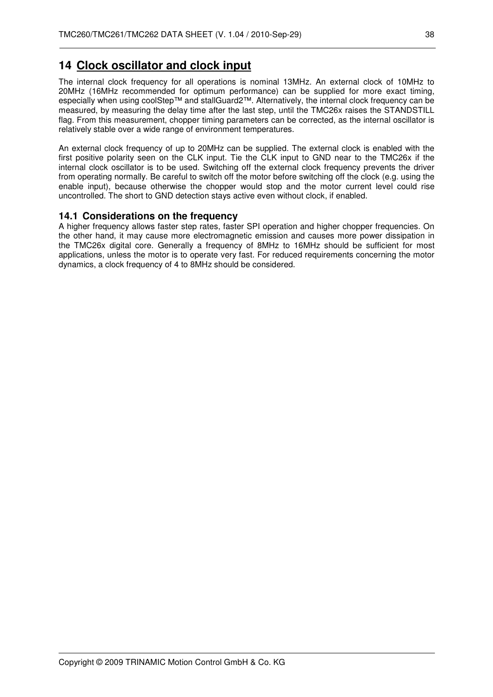## **14 Clock oscillator and clock input**

The internal clock frequency for all operations is nominal 13MHz. An external clock of 10MHz to 20MHz (16MHz recommended for optimum performance) can be supplied for more exact timing, especially when using coolStep™ and stallGuard2™. Alternatively, the internal clock frequency can be measured, by measuring the delay time after the last step, until the TMC26x raises the STANDSTILL flag. From this measurement, chopper timing parameters can be corrected, as the internal oscillator is relatively stable over a wide range of environment temperatures.

An external clock frequency of up to 20MHz can be supplied. The external clock is enabled with the first positive polarity seen on the CLK input. Tie the CLK input to GND near to the TMC26x if the internal clock oscillator is to be used. Switching off the external clock frequency prevents the driver from operating normally. Be careful to switch off the motor before switching off the clock (e.g. using the enable input), because otherwise the chopper would stop and the motor current level could rise uncontrolled. The short to GND detection stays active even without clock, if enabled.

## **14.1 Considerations on the frequency**

A higher frequency allows faster step rates, faster SPI operation and higher chopper frequencies. On the other hand, it may cause more electromagnetic emission and causes more power dissipation in the TMC26x digital core. Generally a frequency of 8MHz to 16MHz should be sufficient for most applications, unless the motor is to operate very fast. For reduced requirements concerning the motor dynamics, a clock frequency of 4 to 8MHz should be considered.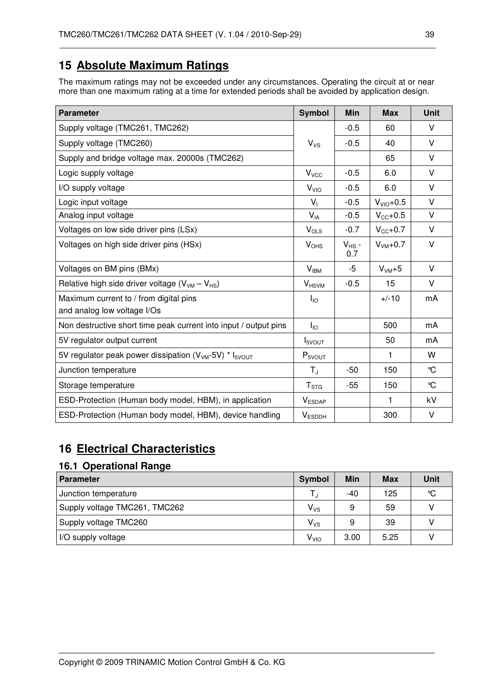## **15 Absolute Maximum Ratings**

The maximum ratings may not be exceeded under any circumstances. Operating the circuit at or near more than one maximum rating at a time for extended periods shall be avoided by application design.

| <b>Parameter</b>                                                               | <b>Symbol</b>          | Min               | <b>Max</b>   | <b>Unit</b>   |
|--------------------------------------------------------------------------------|------------------------|-------------------|--------------|---------------|
| Supply voltage (TMC261, TMC262)                                                |                        | $-0.5$            | 60           | $\vee$        |
| Supply voltage (TMC260)                                                        | $V_{VS}$               | $-0.5$            | 40           | $\vee$        |
| Supply and bridge voltage max. 20000s (TMC262)                                 |                        |                   | 65           | $\vee$        |
| Logic supply voltage                                                           | $V_{VCC}$              | $-0.5$            | 6.0          | $\vee$        |
| I/O supply voltage                                                             | V <sub>VO</sub>        | $-0.5$            | 6.0          | $\vee$        |
| Logic input voltage                                                            | V <sub>1</sub>         | $-0.5$            | $VVIO+0.5$   | $\vee$        |
| Analog input voltage                                                           | $V_{IA}$               | $-0.5$            | $V_{CC}+0.5$ | $\vee$        |
| Voltages on low side driver pins (LSx)                                         | $V_{OLS}$              | $-0.7$            | $V_{CC}+0.7$ | $\vee$        |
| Voltages on high side driver pins (HSx)                                        | <b>V<sub>OHS</sub></b> | $V_{HS}$ -<br>0.7 | $VVM+0.7$    | $\vee$        |
| Voltages on BM pins (BMx)                                                      | $V_{IBM}$              | -5                | $VVM+5$      | $\vee$        |
| Relative high side driver voltage $(V_{VM} - V_{HS})$                          | $V_{HSVM}$             | $-0.5$            | 15           | $\vee$        |
| Maximum current to / from digital pins<br>and analog low voltage I/Os          | $I_{10}$               |                   | $+/-10$      | mA            |
| Non destructive short time peak current into input / output pins               | $I_{10}$               |                   | 500          | mA            |
| 5V regulator output current                                                    | $I_{5VOUT}$            |                   | 50           | mA            |
| 5V regulator peak power dissipation (V <sub>VM</sub> -5V) * I <sub>5VOUT</sub> | $P_{5VOUT}$            |                   | 1            | W             |
| Junction temperature                                                           | $T_{\rm J}$            | -50               | 150          | $\mathcal{C}$ |
| Storage temperature                                                            | T <sub>STG</sub>       | $-55$             | 150          | $\mathcal{C}$ |
| ESD-Protection (Human body model, HBM), in application                         | <b>VESDAP</b>          |                   | 1            | kV            |
| ESD-Protection (Human body model, HBM), device handling                        | $V_{ESDDH}$            |                   | 300          | V             |

## **16 Electrical Characteristics**

## **16.1 Operational Range**

| <b>Parameter</b>              | <b>Symbol</b>   | Min  | Max  | Unit |
|-------------------------------|-----------------|------|------|------|
| Junction temperature          |                 | -40  | 125  | °C   |
| Supply voltage TMC261, TMC262 | $V_{VS}$        | 9    | 59   |      |
| Supply voltage TMC260         | $V_{VS}$        | 9    | 39   |      |
| I/O supply voltage            | V <sub>VO</sub> | 3.00 | 5.25 |      |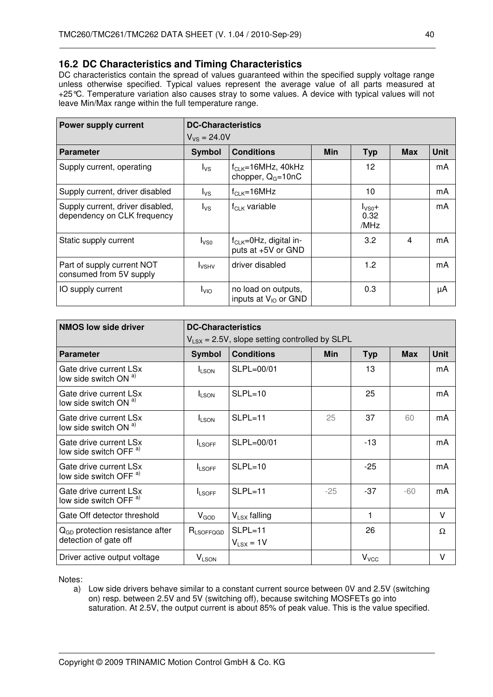### **16.2 DC Characteristics and Timing Characteristics**

DC characteristics contain the spread of values guaranteed within the specified supply voltage range unless otherwise specified. Typical values represent the average value of all parts measured at +25°C. Temperature variation also causes stray to some values. A device with typical values will not leave Min/Max range within the full temperature range.

| <b>Power supply current</b>                                     |                          | <b>DC-Characteristics</b>                           |            |                            |            |             |  |  |
|-----------------------------------------------------------------|--------------------------|-----------------------------------------------------|------------|----------------------------|------------|-------------|--|--|
|                                                                 | $V_{VS} = 24.0 V$        |                                                     |            |                            |            |             |  |  |
| <b>Parameter</b>                                                | <b>Symbol</b>            | <b>Conditions</b>                                   | <b>Min</b> | <b>Typ</b>                 | <b>Max</b> | <b>Unit</b> |  |  |
| Supply current, operating                                       | $I_{VS}$                 | $f_{CLK} = 16 MHz$ , 40kHz<br>chopper, $Q_G = 10nC$ |            | 12                         |            | mA          |  |  |
| Supply current, driver disabled                                 | $I_{\text{VS}}$          | $f_{CLK} = 16 MHz$                                  |            | 10                         |            | mA          |  |  |
| Supply current, driver disabled,<br>dependency on CLK frequency | $I_{\text{VS}}$          | $f_{CLK}$ variable                                  |            | $I_{VSO}+$<br>0.32<br>/MHz |            | mA          |  |  |
| Static supply current                                           | I <sub>VSO</sub>         | $f_{CLK} = 0Hz$ , digital in-<br>puts at +5V or GND |            | 3.2                        | 4          | mA          |  |  |
| Part of supply current NOT<br>consumed from 5V supply           | <b>I</b> <sub>VSHV</sub> | driver disabled                                     |            | 1.2                        |            | mA          |  |  |
| IO supply current                                               | $I_{\text{VIO}}$         | no load on outputs,<br>inputs at $V_{10}$ or GND    |            | 0.3                        |            | μA          |  |  |

| <b>NMOS low side driver</b>                                 | <b>DC-Characteristics</b> |                                                    |       |            |            |             |  |
|-------------------------------------------------------------|---------------------------|----------------------------------------------------|-------|------------|------------|-------------|--|
|                                                             |                           | $V_{LSX}$ = 2.5V, slope setting controlled by SLPL |       |            |            |             |  |
| <b>Parameter</b>                                            | <b>Symbol</b>             | <b>Conditions</b>                                  | Min   | <b>Typ</b> | <b>Max</b> | <b>Unit</b> |  |
| Gate drive current LSx<br>low side switch ON a)             | <b>ILSON</b>              | SLPL=00/01                                         |       | 13         |            | mA          |  |
| Gate drive current LSx<br>low side switch ON a)             | <b>I</b> LSON             | $SLPL=10$                                          |       | 25         |            | mA          |  |
| Gate drive current LSx<br>low side switch ON a)             | <b>ILSON</b>              | $SLPL=11$                                          | 25    | 37         | 60         | mA          |  |
| Gate drive current LSx<br>low side switch OFF <sup>a)</sup> | <b>ILSOFF</b>             | SLPL=00/01                                         |       | $-13$      |            | mA          |  |
| Gate drive current LSx<br>low side switch OFF <sup>a)</sup> | <b>ILSOFF</b>             | $SLPL=10$                                          |       | $-25$      |            | mA          |  |
| Gate drive current LSx<br>low side switch OFF <sup>a)</sup> | <b>ILSOFF</b>             | $SLPL=11$                                          | $-25$ | $-37$      | $-60$      | mA          |  |
| Gate Off detector threshold                                 | $V_{GOD}$                 | $V_{LSX}$ falling                                  |       | 1          |            | v           |  |
| $QGD$ protection resistance after                           | $R_{LSOFFGGD}$            | $SLPL=11$                                          |       | 26         |            | Ω           |  |
| detection of gate off                                       |                           | $V_{LSX} = 1V$                                     |       |            |            |             |  |
| Driver active output voltage                                | <b>VLSON</b>              |                                                    |       | $V_{VCC}$  |            | ٧           |  |

Notes:

a) Low side drivers behave similar to a constant current source between 0V and 2.5V (switching on) resp. between 2.5V and 5V (switching off), because switching MOSFETs go into saturation. At 2.5V, the output current is about 85% of peak value. This is the value specified.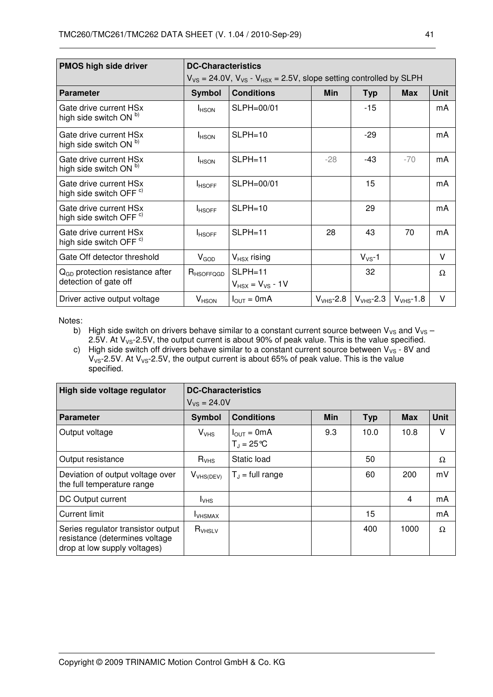| <b>PMOS high side driver</b>                                 | <b>DC-Characteristics</b> |                                                                                 |            |                                    |                |             |
|--------------------------------------------------------------|---------------------------|---------------------------------------------------------------------------------|------------|------------------------------------|----------------|-------------|
|                                                              |                           | $V_{VS}$ = 24.0V, $V_{VS}$ - $V_{HSX}$ = 2.5V, slope setting controlled by SLPH |            |                                    |                |             |
| <b>Parameter</b>                                             | <b>Symbol</b>             | <b>Conditions</b>                                                               | <b>Min</b> | <b>Typ</b>                         | <b>Max</b>     | <b>Unit</b> |
| Gate drive current HSx<br>high side switch ON <sup>b)</sup>  | <b>I</b> HSON             | $SLPH=00/01$                                                                    |            | -15                                |                | mA          |
| Gate drive current HSx<br>high side switch ON <sup>b)</sup>  | <b>I</b> HSON             | $SLPH=10$                                                                       |            | $-29$                              |                | mA          |
| Gate drive current HSx<br>high side switch ON b)             | <b>I</b> HSON             | $SLPH=11$                                                                       | $-28$      | -43                                | $-70$          | mA          |
| Gate drive current HSx<br>high side switch OFF <sup>c)</sup> | <b>I</b> HSOFF            | SLPH=00/01                                                                      |            | 15                                 |                | mA          |
| Gate drive current HSx<br>high side switch OFF <sup>c)</sup> | <b>IHSOFF</b>             | $SLPH=10$                                                                       |            | 29                                 |                | mA          |
| Gate drive current HSx<br>high side switch OFF <sup>c)</sup> | <b>IHSOFF</b>             | $SLPH=11$                                                                       | 28         | 43                                 | 70             | mA          |
| Gate Off detector threshold                                  | $V_{GOD}$                 | $V_{HSX}$ rising                                                                |            | $V_{VS}$ -1                        |                | V           |
| $QGD$ protection resistance after<br>detection of gate off   | $R$ <sub>HSOFFQGD</sub>   | $SLPH=11$<br>$V_{HSX}$ = $V_{VS}$ - 1V                                          |            | 32                                 |                | Ω           |
| Driver active output voltage                                 | $V_{HSON}$                | $I_{OUT} = 0mA$                                                                 |            | $V_{VHS}$ -2.8 $ V_{VHS}$ -2.3 $ $ | $V_{VHS}$ -1.8 | V           |

Notes:

b) High side switch on drivers behave similar to a constant current source between  $V_{VS}$  and  $V_{VS}$  – 2.5V. At  $V_{VS}$ -2.5V, the output current is about 90% of peak value. This is the value specified.

c) High side switch off drivers behave similar to a constant current source between  $V_{VS}$  - 8V and  $V_{\text{VS}}$ -2.5V. At  $V_{\text{VS}}$ -2.5V, the output current is about 65% of peak value. This is the value specified.

| High side voltage regulator                                                                          |                   | <b>DC-Characteristics</b>                |            |            |            |             |  |  |
|------------------------------------------------------------------------------------------------------|-------------------|------------------------------------------|------------|------------|------------|-------------|--|--|
|                                                                                                      | $V_{VS} = 24.0 V$ |                                          |            |            |            |             |  |  |
| <b>Parameter</b>                                                                                     | <b>Symbol</b>     | <b>Conditions</b>                        | <b>Min</b> | <b>Typ</b> | <b>Max</b> | <b>Unit</b> |  |  |
| Output voltage                                                                                       | $V_{VHS}$         | $I_{OUT} = 0mA$<br>$T_{d} = 25^{\circ}C$ | 9.3        | 10.0       | 10.8       | V           |  |  |
| Output resistance                                                                                    | $R_{VHS}$         | Static load                              |            | 50         |            | Ω           |  |  |
| Deviation of output voltage over<br>the full temperature range                                       | $V_{VHS(DEV)}$    | $T_{J}$ = full range                     |            | 60         | 200        | mV          |  |  |
| DC Output current                                                                                    | $I_{VHS}$         |                                          |            |            | 4          | mA          |  |  |
| <b>Current limit</b>                                                                                 | <b>I</b> VHSMAX   |                                          |            | 15         |            | mA          |  |  |
| Series regulator transistor output<br>resistance (determines voltage<br>drop at low supply voltages) | $R_{VHSLV}$       |                                          |            | 400        | 1000       | Ω           |  |  |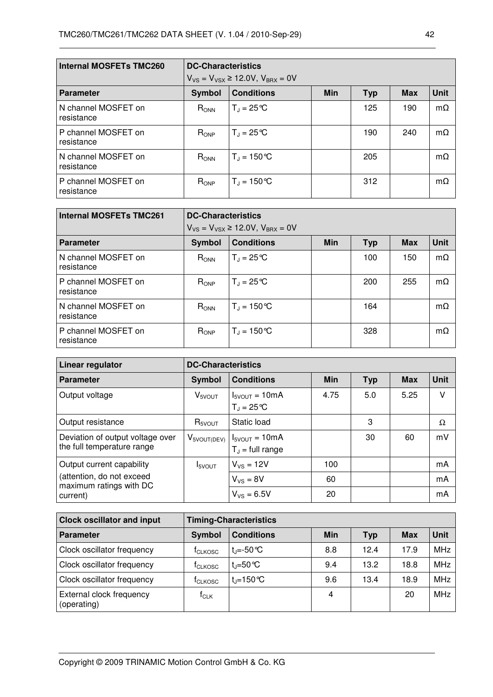| <b>Internal MOSFETs TMC260</b>    |           | <b>DC-Characteristics</b><br>$V_{VS} = V_{VSX} \ge 12.0 V$ , $V_{BRX} = 0V$ |            |            |            |             |  |
|-----------------------------------|-----------|-----------------------------------------------------------------------------|------------|------------|------------|-------------|--|
| <b>Parameter</b>                  | Symbol    | <b>Conditions</b>                                                           | <b>Min</b> | <b>Typ</b> | <b>Max</b> | <b>Unit</b> |  |
| N channel MOSFET on<br>resistance | $R_{ONN}$ | $T_{\rm J} = 25^{\circ}C$                                                   |            | 125        | 190        | $m\Omega$   |  |
| P channel MOSFET on<br>resistance | $R_{OP}$  | $T_{d} = 25^{\circ}C$                                                       |            | 190        | 240        | $m\Omega$   |  |
| N channel MOSFET on<br>resistance | $R_{ONN}$ | $T_{J} = 150 °C$                                                            |            | 205        |            | $m\Omega$   |  |
| P channel MOSFET on<br>resistance | $R_{ONP}$ | $T_{\rm d} = 150^{\circ}C$                                                  |            | 312        |            | $m\Omega$   |  |

| <b>Internal MOSFETs TMC261</b>    |           | <b>DC-Characteristics</b>                      |            |            |            |             |  |  |
|-----------------------------------|-----------|------------------------------------------------|------------|------------|------------|-------------|--|--|
|                                   |           | $V_{VS} = V_{VSX} \ge 12.0 V$ , $V_{BRX} = 0V$ |            |            |            |             |  |  |
| <b>Parameter</b>                  | Symbol    | <b>Conditions</b>                              | <b>Min</b> | <b>Typ</b> | <b>Max</b> | <b>Unit</b> |  |  |
| N channel MOSFET on<br>resistance | $R_{ONN}$ | $T_{d} = 25^{\circ}C$                          |            | 100        | 150        | $m\Omega$   |  |  |
| P channel MOSFET on<br>resistance | $R_{OP}$  | $T_{\rm J} = 25^{\circ}C$                      |            | 200        | 255        | $m\Omega$   |  |  |
| N channel MOSFET on<br>resistance | $R_{ONN}$ | $T_{\rm d}$ = 150 °C                           |            | 164        |            | $m\Omega$   |  |  |
| P channel MOSFET on<br>resistance | $R_{OP}$  | $T_{1} = 150 °C$                               |            | 328        |            | $m\Omega$   |  |  |

| Linear regulator                                               |                           | <b>DC-Characteristics</b>                   |            |            |            |             |  |  |
|----------------------------------------------------------------|---------------------------|---------------------------------------------|------------|------------|------------|-------------|--|--|
| <b>Parameter</b>                                               | Symbol                    | <b>Conditions</b>                           | <b>Min</b> | <b>Typ</b> | <b>Max</b> | <b>Unit</b> |  |  |
| Output voltage                                                 | $V_{5VOUT}$               | $I_{5VOUT} = 10mA$<br>$T_{d} = 25^{\circ}C$ | 4.75       | 5.0        | 5.25       | v           |  |  |
| Output resistance                                              | $R_{\rm SVOUT}$           | Static load                                 |            | 3          |            | Ω           |  |  |
| Deviation of output voltage over<br>the full temperature range | $V_{5VOUT(DEV)}$          | $I_{5VOUT} = 10mA$<br>$T_{J}$ = full range  |            | 30         | 60         | mV          |  |  |
| Output current capability                                      | <b>I</b> <sub>5VOUT</sub> | $V_{VS}$ = 12V                              | 100        |            |            | mA          |  |  |
| (attention, do not exceed<br>maximum ratings with DC           |                           | $V_{VS} = 8V$                               | 60         |            |            | mA          |  |  |
| current)                                                       |                           | $V_{VS} = 6.5V$                             | 20         |            |            | mA          |  |  |

| <b>Clock oscillator and input</b>       |                             | <b>Timing-Characteristics</b> |            |            |            |             |  |
|-----------------------------------------|-----------------------------|-------------------------------|------------|------------|------------|-------------|--|
| <b>Parameter</b>                        | <b>Symbol</b>               | <b>Conditions</b>             | <b>Min</b> | <b>Typ</b> | <b>Max</b> | <b>Unit</b> |  |
| Clock oscillator frequency              | <b>T</b> CLKOSC             | t <sub>i</sub> =-50 ℃         | 8.8        | 12.4       | 17.9       | <b>MHz</b>  |  |
| Clock oscillator frequency              | <sup>t</sup> CLKOSC         | $t = 50^{\circ}$ C            | 9.4        | 13.2       | 18.8       | <b>MHz</b>  |  |
| Clock oscillator frequency              | t <sub>CLKOSC</sub>         | $t = 150$ °C                  | 9.6        | 13.4       | 18.9       | <b>MHz</b>  |  |
| External clock frequency<br>(operating) | $\mathsf{f}_{\mathsf{CLK}}$ |                               | 4          |            | 20         | <b>MHz</b>  |  |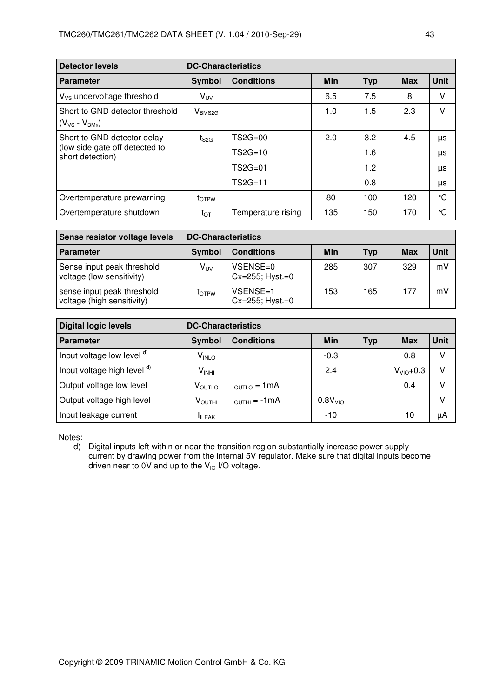| <b>Detector levels</b>                                  |                          | <b>DC-Characteristics</b> |            |            |            |             |  |  |
|---------------------------------------------------------|--------------------------|---------------------------|------------|------------|------------|-------------|--|--|
| <b>Parameter</b>                                        | <b>Symbol</b>            | <b>Conditions</b>         | <b>Min</b> | <b>Typ</b> | <b>Max</b> | <b>Unit</b> |  |  |
| $V_{VS}$ undervoltage threshold                         | $V_{UV}$                 |                           | 6.5        | 7.5        | 8          | v           |  |  |
| Short to GND detector threshold<br>$(V_{VS} - V_{BMx})$ | $V_{BMS2G}$              |                           | 1.0        | 1.5        | 2.3        | V           |  |  |
| Short to GND detector delay                             | $t_{\rm S2G}$            | $TS2G=00$                 | 2.0        | 3.2        | 4.5        | μs          |  |  |
| (low side gate off detected to<br>short detection)      |                          | $TS2G=10$                 |            | 1.6        |            | μs          |  |  |
|                                                         |                          | TS2G=01                   |            | 1.2        |            | μs          |  |  |
|                                                         |                          | $TS2G=11$                 |            | 0.8        |            | μs          |  |  |
| Overtemperature prewarning                              | <b>t</b> <sub>OTPW</sub> |                           | 80         | 100        | 120        | °C          |  |  |
| Overtemperature shutdown                                | $t_{\text{OT}}$          | Temperature rising        | 135        | 150        | 170        | °C          |  |  |

| Sense resistor voltage levels                            | <b>DC-Characteristics</b> |                                      |     |            |     |      |
|----------------------------------------------------------|---------------------------|--------------------------------------|-----|------------|-----|------|
| <b>Parameter</b>                                         | <b>Symbol</b>             | <b>Conditions</b>                    | Min | <b>Typ</b> | Max | Unit |
| Sense input peak threshold<br>voltage (low sensitivity)  | V <sub>UV</sub>           | VSENSE=0<br>$Cx = 255$ ; $Hyst = 0$  | 285 | 307        | 329 | mV   |
| sense input peak threshold<br>voltage (high sensitivity) | <b>LOTPW</b>              | VSENSE=1<br>$Cx = 255$ ; Hyst. $= 0$ | 153 | 165        | 177 | mV   |

| <b>Digital logic levels</b> |                               | <b>DC-Characteristics</b>                                                  |                     |  |            |    |  |  |
|-----------------------------|-------------------------------|----------------------------------------------------------------------------|---------------------|--|------------|----|--|--|
| <b>Parameter</b>            | Symbol                        | <b>Unit</b><br><b>Conditions</b><br><b>Min</b><br><b>Typ</b><br><b>Max</b> |                     |  |            |    |  |  |
| Input voltage low level d)  | $V_{\text{INLO}}$             |                                                                            | $-0.3$              |  | 0.8        | v  |  |  |
| Input voltage high level d) | $V_{\mathsf{INHI}}$           |                                                                            | 2.4                 |  | $VVIO+0.3$ | V  |  |  |
| Output voltage low level    | $\mathsf{V}_{\mathsf{OUTLO}}$ | $I_{\text{OUTLO}} = 1 \text{mA}$                                           |                     |  | 0.4        |    |  |  |
| Output voltage high level   | $V_{\text{OUTHI}}$            | $I_{\text{OUTHI}} = -1 \text{mA}$                                          | 0.8V <sub>VIO</sub> |  |            | V  |  |  |
| Input leakage current       | <b>ILEAK</b>                  |                                                                            | $-10$               |  | 10         | μA |  |  |

Notes:

d) Digital inputs left within or near the transition region substantially increase power supply current by drawing power from the internal 5V regulator. Make sure that digital inputs become driven near to 0V and up to the  $V_{10}$  I/O voltage.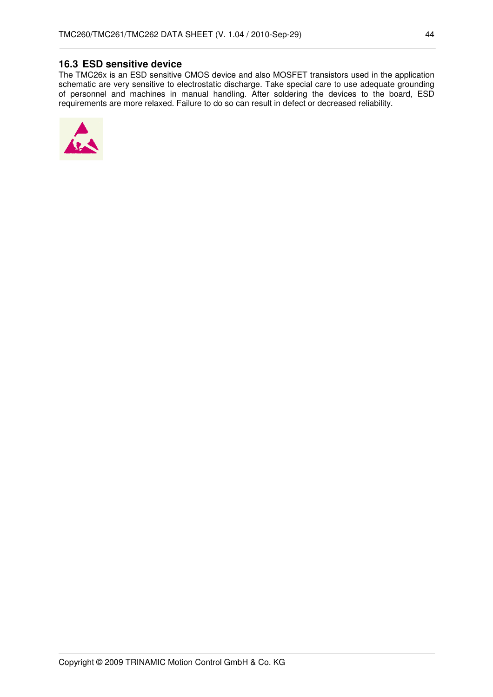## **16.3 ESD sensitive device**

The TMC26x is an ESD sensitive CMOS device and also MOSFET transistors used in the application schematic are very sensitive to electrostatic discharge. Take special care to use adequate grounding of personnel and machines in manual handling. After soldering the devices to the board, ESD requirements are more relaxed. Failure to do so can result in defect or decreased reliability.

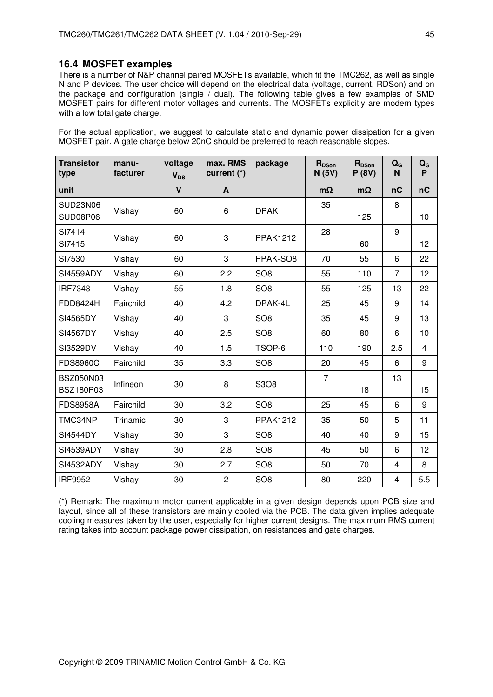#### **16.4 MOSFET examples**

There is a number of N&P channel paired MOSFETs available, which fit the TMC262, as well as single N and P devices. The user choice will depend on the electrical data (voltage, current, RDSon) and on the package and configuration (single / dual). The following table gives a few examples of SMD MOSFET pairs for different motor voltages and currents. The MOSFETs explicitly are modern types with a low total gate charge.

For the actual application, we suggest to calculate static and dynamic power dissipation for a given MOSFET pair. A gate charge below 20nC should be preferred to reach reasonable slopes.

| <b>Transistor</b><br>type     | manu-<br>facturer | voltage<br><b>V<sub>DS</sub></b> | max. RMS<br>current (*) | package         | R <sub>DSon</sub><br>N(5V) | R <sub>DSon</sub><br>P(8V) | $Q_{G}$<br>N   | $Q_{G}$<br>P |
|-------------------------------|-------------------|----------------------------------|-------------------------|-----------------|----------------------------|----------------------------|----------------|--------------|
| unit                          |                   | $\mathbf{V}$                     | A                       |                 | $m\Omega$                  | $m\Omega$                  | nC             | nC           |
| <b>SUD23N06</b><br>SUD08P06   | Vishay            | 60                               | 6                       | <b>DPAK</b>     | 35                         | 125                        | 8              | 10           |
| SI7414<br>SI7415              | Vishay            | 60                               | 3                       | <b>PPAK1212</b> | 28                         | 60                         | 9              | 12           |
| SI7530                        | Vishay            | 60                               | 3                       | PPAK-SO8        | 70                         | 55                         | 6              | 22           |
| <b>SI4559ADY</b>              | Vishay            | 60                               | 2.2                     | SO <sub>8</sub> | 55                         | 110                        | $\overline{7}$ | 12           |
| <b>IRF7343</b>                | Vishay            | 55                               | 1.8                     | SO <sub>8</sub> | 55                         | 125                        | 13             | 22           |
| <b>FDD8424H</b>               | Fairchild         | 40                               | 4.2                     | DPAK-4L         | 25                         | 45                         | 9              | 14           |
| SI4565DY                      | Vishay            | 40                               | 3                       | SO <sub>8</sub> | 35                         | 45                         | 9              | 13           |
| <b>SI4567DY</b>               | Vishay            | 40                               | 2.5                     | SO <sub>8</sub> | 60                         | 80                         | 6              | 10           |
| SI3529DV                      | Vishay            | 40                               | 1.5                     | TSOP-6          | 110                        | 190                        | 2.5            | 4            |
| <b>FDS8960C</b>               | Fairchild         | 35                               | 3.3                     | SO <sub>8</sub> | 20                         | 45                         | 6              | 9            |
| <b>BSZ050N03</b><br>BSZ180P03 | Infineon          | 30                               | 8                       | S3O8            | $\overline{7}$             | 18                         | 13             | 15           |
| <b>FDS8958A</b>               | Fairchild         | 30                               | 3.2                     | SO <sub>8</sub> | 25                         | 45                         | 6              | 9            |
| TMC34NP                       | Trinamic          | 30                               | 3                       | <b>PPAK1212</b> | 35                         | 50                         | 5              | 11           |
| <b>SI4544DY</b>               | Vishay            | 30                               | 3                       | SO <sub>8</sub> | 40                         | 40                         | 9              | 15           |
| SI4539ADY                     | Vishay            | 30                               | 2.8                     | SO <sub>8</sub> | 45                         | 50                         | 6              | 12           |
| SI4532ADY                     | Vishay            | 30                               | 2.7                     | SO <sub>8</sub> | 50                         | 70                         | $\overline{4}$ | 8            |
| <b>IRF9952</b>                | Vishay            | 30                               | $\overline{c}$          | SO <sub>8</sub> | 80                         | 220                        | 4              | 5.5          |

(\*) Remark: The maximum motor current applicable in a given design depends upon PCB size and layout, since all of these transistors are mainly cooled via the PCB. The data given implies adequate cooling measures taken by the user, especially for higher current designs. The maximum RMS current rating takes into account package power dissipation, on resistances and gate charges.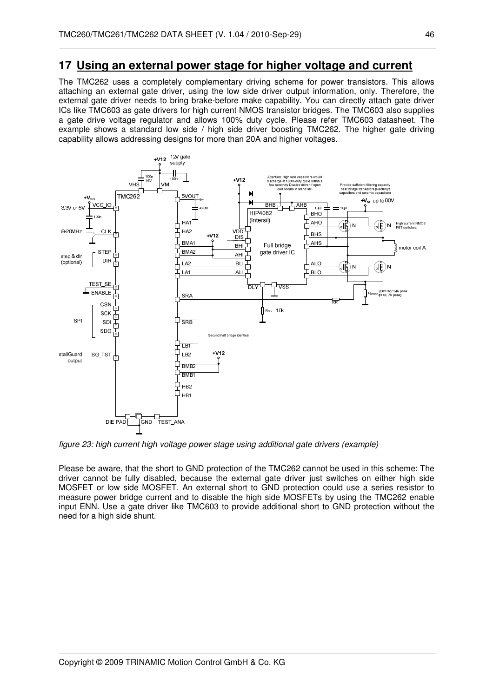## **17 Using an external power stage for higher voltage and current**

The TMC262 uses a completely complementary driving scheme for power transistors. This allows attaching an external gate driver, using the low side driver output information, only. Therefore, the external gate driver needs to bring brake-before make capability. You can directly attach gate driver ICs like TMC603 as gate drivers for high current NMOS transistor bridges. The TMC603 also supplies a gate drive voltage regulator and allows 100% duty cycle. Please refer TMC603 datasheet. The example shows a standard low side / high side driver boosting TMC262. The higher gate driving capability allows addressing designs for more than 20A and higher voltages.



figure 23: high current high voltage power stage using additional gate drivers (example)

Please be aware, that the short to GND protection of the TMC262 cannot be used in this scheme: The driver cannot be fully disabled, because the external gate driver just switches on either high side MOSFET or low side MOSFET. An external short to GND protection could use a series resistor to measure power bridge current and to disable the high side MOSFETs by using the TMC262 enable input ENN. Use a gate driver like TMC603 to provide additional short to GND protection without the need for a high side shunt.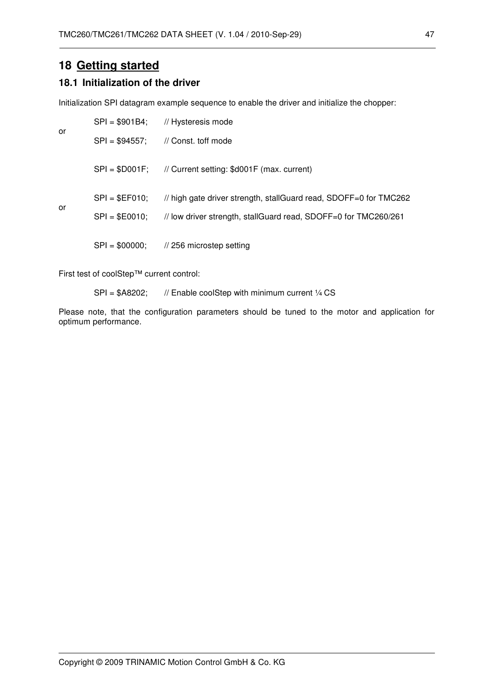## **18 Getting started**

#### **18.1 Initialization of the driver**

Initialization SPI datagram example sequence to enable the driver and initialize the chopper:

| or |                                    | SPI = \$901B4; // Hysteresis mode                                                                                                    |
|----|------------------------------------|--------------------------------------------------------------------------------------------------------------------------------------|
|    | $SPI = $94557;$                    | // Const. toff mode                                                                                                                  |
|    | $SPI = $DO01F$ :                   | // Current setting: \$d001F (max. current)                                                                                           |
| or | $SPI = $EFO10;$<br>$SPI = $E0010;$ | // high gate driver strength, stallGuard read, SDOFF=0 for TMC262<br>// low driver strength, stallGuard read, SDOFF=0 for TMC260/261 |
|    | $SPI = $00000;$                    | // 256 microstep setting                                                                                                             |

First test of coolStep™ current control:

SPI = \$A8202; // Enable coolStep with minimum current 1/4 CS

Please note, that the configuration parameters should be tuned to the motor and application for optimum performance.